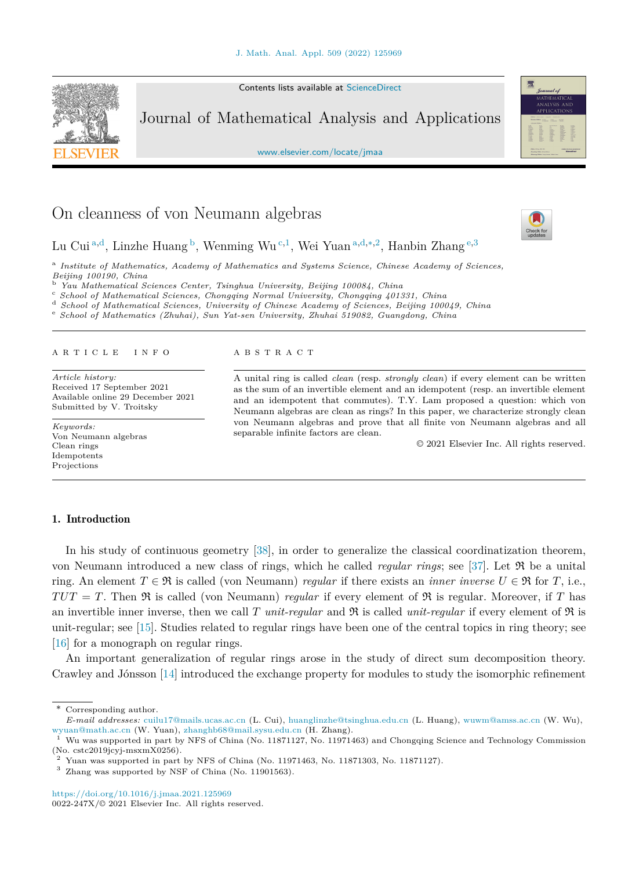Contents lists available at [ScienceDirect](http://www.ScienceDirect.com/)



Journal of Mathematical Analysis and Applications

[www.elsevier.com/locate/jmaa](http://www.elsevier.com/locate/jmaa)

# On cleanness of von Neumann algebras

Lu Cui <sup>a</sup>*,*d, Linzhe Huang <sup>b</sup>, Wenming Wu <sup>c</sup>*,*1, Wei Yuan <sup>a</sup>*,*d*,*∗*,*2, Hanbin Zhang <sup>e</sup>*,*<sup>3</sup>

<sup>a</sup> *Institute of Mathematics, Academy of Mathematics and Systems Science, Chinese Academy of Sciences,*

<sup>b</sup> Yau Mathematical Sciences Center, Tsinghua University, Beijing 100084, China<br>
<sup>c</sup> School of Mathematical Sciences, Chongqing Normal University, Chongqing 401331, China<br>
<sup>d</sup> School of Mathematical Sciences, University

#### A R T I C L E I N F O A B S T R A C T

*Article history:* Received 17 September 2021 Available online 29 December 2021 Submitted by V. Troitsky

*Keywords:* Von Neumann algebras Clean rings Idempotents Projections

#### 1. Introduction

A unital ring is called *clean* (resp. *strongly clean*) if every element can be written as the sum of an invertible element and an idempotent (resp. an invertible element and an idempotent that commutes). T.Y. Lam proposed a question: which von Neumann algebras are clean as rings? In this paper, we characterize strongly clean von Neumann algebras and prove that all finite von Neumann algebras and all separable infinite factors are clean.

© 2021 Elsevier Inc. All rights reserved.

In his study of continuous geometry [[38\]](#page-20-0), in order to generalize the classical coordinatization theorem, von Neumann introduced a new class of rings, which he called *regular rings*; see [\[37](#page-20-0)]. Let R be a unital ring. An element  $T \in \mathfrak{R}$  is called (von Neumann) *regular* if there exists an *inner inverse*  $U \in \mathfrak{R}$  for  $T$ , i.e.,  $TUT = T$ . Then  $\Re$  is called (von Neumann) *regular* if every element of  $\Re$  is regular. Moreover, if *T* has an invertible inner inverse, then we call *T unit-regular* and  $\Re$  is called *unit-regular* if every element of  $\Re$  is unit-regular; see [\[15](#page-20-0)]. Studies related to regular rings have been one of the central topics in ring theory; see [[16\]](#page-20-0) for a monograph on regular rings.

An important generalization of regular rings arose in the study of direct sum decomposition theory. Crawley and Jónsson [[14\]](#page-20-0) introduced the exchange property for modules to study the isomorphic refinement



heck fo

<sup>\*</sup> Corresponding author.

*E-mail addresses:* [cuilu17@mails.ucas.ac.cn](mailto:cuilu17@mails.ucas.ac.cn) (L. Cui), [huanglinzhe@tsinghua.edu.cn](mailto:huanglinzhe@tsinghua.edu.cn) (L. Huang), [wuwm@amss.ac.cn](mailto:wuwm@amss.ac.cn) (W. Wu), [wyuan@math.ac.cn](mailto:wyuan@math.ac.cn) (W. Yuan), [zhanghb68@mail.sysu.edu.cn](mailto:zhanghb68@mail.sysu.edu.cn) (H. Zhang).

<sup>&</sup>lt;sup>1</sup> Wu was supported in part by NFS of China (No. 11871127, No. 11971463) and Chongqing Science and Technology Commission (No. cstc2019jcyj-msxmX0256).

 $2$  Yuan was supported in part by NFS of China (No. 11971463, No. 11871303, No. 11871127).

 $^3\,$  Zhang was supported by NSF of China (No. 11901563).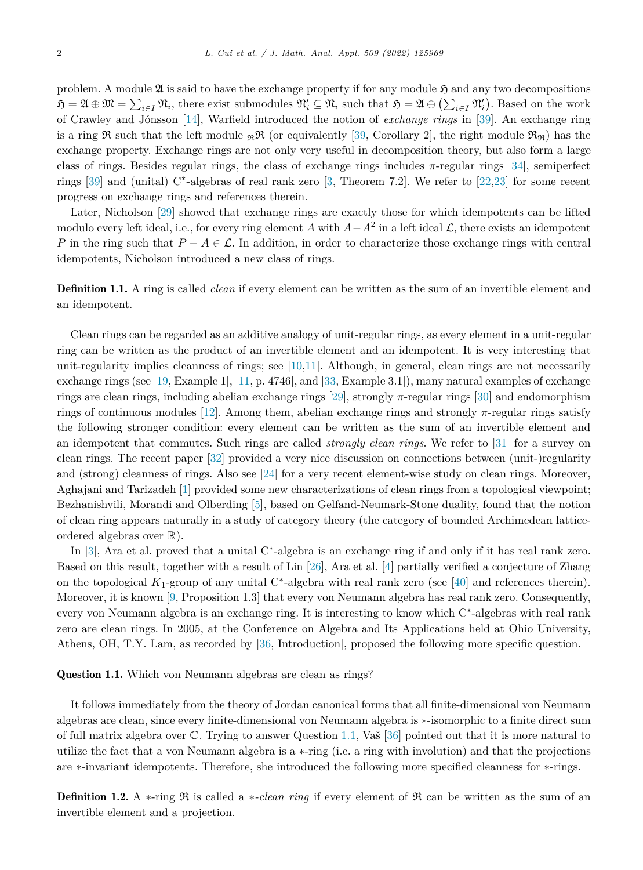<span id="page-1-0"></span>problem. A module  $\mathfrak A$  is said to have the exchange property if for any module  $\mathfrak H$  and any two decompositions  $\mathfrak{H} = \mathfrak{A} \oplus \mathfrak{M} = \sum_{i \in I} \mathfrak{N}_i$ , there exist submodules  $\mathfrak{N}'_i \subseteq \mathfrak{N}_i$  such that  $\mathfrak{H} = \mathfrak{A} \oplus (\sum_{i \in I} \mathfrak{N}'_i)$ . Based on the work of Crawley and Jónsson [[14\]](#page-20-0), Warfield introduced the notion of *exchange rings* in [\[39](#page-20-0)]. An exchange ring is a ring R such that the left module  $\mathfrak{R}$  (or equivalently [[39,](#page-20-0) Corollary 2], the right module  $\mathfrak{R}_{\mathfrak{R}}$ ) has the exchange property. Exchange rings are not only very useful in decomposition theory, but also form a large class of rings. Besides regular rings, the class of exchange rings includes *π*-regular rings [\[34](#page-20-0)], semiperfect rings [[39\]](#page-20-0) and (unital) C∗-algebras of real rank zero [\[3](#page-19-0), Theorem 7.2]. We refer to [\[22,23](#page-20-0)] for some recent progress on exchange rings and references therein.

Later, Nicholson [[29\]](#page-20-0) showed that exchange rings are exactly those for which idempotents can be lifted modulo every left ideal, i.e., for every ring element *A* with  $A - A^2$  in a left ideal  $\mathcal{L}$ , there exists an idempotent *P* in the ring such that  $P - A \in \mathcal{L}$ . In addition, in order to characterize those exchange rings with central idempotents, Nicholson introduced a new class of rings.

Definition 1.1. A ring is called *clean* if every element can be written as the sum of an invertible element and an idempotent.

Clean rings can be regarded as an additive analogy of unit-regular rings, as every element in a unit-regular ring can be written as the product of an invertible element and an idempotent. It is very interesting that unit-regularity implies cleanness of rings; see  $[10,11]$  $[10,11]$ . Although, in general, clean rings are not necessarily exchange rings (see [\[19](#page-20-0), Example 1], [[11,](#page-20-0) p. 4746], and [[33,](#page-20-0) Example 3.1]), many natural examples of exchange rings are clean rings, including abelian exchange rings [\[29](#page-20-0)], strongly *π*-regular rings [\[30](#page-20-0)] and endomorphism rings of continuous modules [\[12](#page-20-0)]. Among them, abelian exchange rings and strongly *π*-regular rings satisfy the following stronger condition: every element can be written as the sum of an invertible element and an idempotent that commutes. Such rings are called *strongly clean rings*. We refer to [\[31](#page-20-0)] for a survey on clean rings. The recent paper [\[32](#page-20-0)] provided a very nice discussion on connections between (unit-)regularity and (strong) cleanness of rings. Also see [\[24](#page-20-0)] for a very recent element-wise study on clean rings. Moreover, Aghajani and Tarizadeh [[1\]](#page-19-0) provided some new characterizations of clean rings from a topological viewpoint; Bezhanishvili, Morandi and Olberding [[5\]](#page-19-0), based on Gelfand-Neumark-Stone duality, found that the notion of clean ring appears naturally in a study of category theory (the category of bounded Archimedean latticeordered algebras over  $\mathbb{R}$ ).

In [\[3](#page-19-0)], Ara et al. proved that a unital C∗-algebra is an exchange ring if and only if it has real rank zero. Based on this result, together with a result of Lin [\[26](#page-20-0)], Ara et al. [[4\]](#page-19-0) partially verified a conjecture of Zhang on the topological *K*1-group of any unital C∗-algebra with real rank zero (see [\[40](#page-20-0)] and references therein). Moreover, it is known [[9,](#page-20-0) Proposition 1.3] that every von Neumann algebra has real rank zero. Consequently, every von Neumann algebra is an exchange ring. It is interesting to know which C∗-algebras with real rank zero are clean rings. In 2005, at the Conference on Algebra and Its Applications held at Ohio University, Athens, OH, T.Y. Lam, as recorded by [\[36](#page-20-0), Introduction], proposed the following more specific question.

Question 1.1. Which von Neumann algebras are clean as rings?

It follows immediately from the theory of Jordan canonical forms that all finite-dimensional von Neumann algebras are clean, since every finite-dimensional von Neumann algebra is ∗-isomorphic to a finite direct sum of full matrix algebra over  $\mathbb C$ . Trying to answer Question 1.1, Vaš [\[36\]](#page-20-0) pointed out that it is more natural to utilize the fact that a von Neumann algebra is a ∗-ring (i.e. a ring with involution) and that the projections are ∗-invariant idempotents. Therefore, she introduced the following more specified cleanness for ∗-rings.

Definition 1.2. A ∗-ring R is called a ∗*-clean ring* if every element of R can be written as the sum of an invertible element and a projection.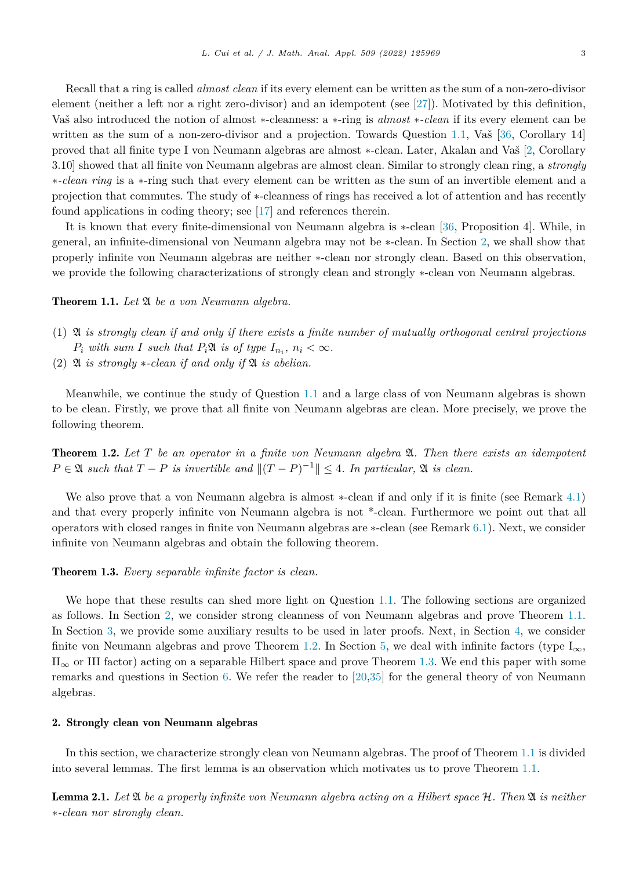<span id="page-2-0"></span>Recall that a ring is called *almost clean* if its every element can be written as the sum of a non-zero-divisor element (neither a left nor a right zero-divisor) and an idempotent (see [\[27](#page-20-0)]). Motivated by this definition, Vaš also introduced the notion of almost ∗-cleanness: a ∗-ring is *almost* ∗*-clean* if its every element can be written as the sum of a non-zero-divisor and a projection. Towards Question [1.1,](#page-1-0) Vaš [\[36](#page-20-0), Corollary 14] proved that all finite type I von Neumann algebras are almost ∗-clean. Later, Akalan and Vaš [\[2](#page-19-0), Corollary 3.10] showed that all finite von Neumann algebras are almost clean. Similar to strongly clean ring, a *strongly* ∗*-clean ring* is a ∗-ring such that every element can be written as the sum of an invertible element and a projection that commutes. The study of ∗-cleanness of rings has received a lot of attention and has recently found applications in coding theory; see [\[17](#page-20-0)] and references therein.

It is known that every finite-dimensional von Neumann algebra is ∗-clean [\[36](#page-20-0), Proposition 4]. While, in general, an infinite-dimensional von Neumann algebra may not be ∗-clean. In Section 2, we shall show that properly infinite von Neumann algebras are neither ∗-clean nor strongly clean. Based on this observation, we provide the following characterizations of strongly clean and strongly ∗-clean von Neumann algebras.

Theorem 1.1. *Let* A *be a von Neumann algebra.*

- (1)  $\mathfrak A$  is strongly clean if and only if there exists a finite number of mutually orthogonal central projections *P*<sub>*i*</sub> *with sum I such that*  $P_i\mathfrak{A}$  *is of type*  $I_{n_i}$ ,  $n_i < \infty$ *.*
- $(2)$  **2** is strongly  $\ast$ -clean if and only if **2** is abelian.

Meanwhile, we continue the study of Question [1.1](#page-1-0) and a large class of von Neumann algebras is shown to be clean. Firstly, we prove that all finite von Neumann algebras are clean. More precisely, we prove the following theorem.

Theorem 1.2. *Let T be an operator in a finite von Neumann algebra* A*. Then there exists an idempotent*  $P \in \mathfrak{A}$  *such that*  $T - P$  *is invertible and*  $||(T - P)^{-1}|| \leq 4$ *. In particular,*  $\mathfrak{A}$  *is clean.* 

We also prove that a von Neumann algebra is almost ∗-clean if and only if it is finite (see Remark [4.1](#page-12-0)) and that every properly infinite von Neumann algebra is not \*-clean. Furthermore we point out that all operators with closed ranges in finite von Neumann algebras are ∗-clean (see Remark [6.1](#page-19-0)). Next, we consider infinite von Neumann algebras and obtain the following theorem.

# Theorem 1.3. *Every separable infinite factor is clean.*

We hope that these results can shed more light on Question [1.1](#page-1-0). The following sections are organized as follows. In Section 2, we consider strong cleanness of von Neumann algebras and prove Theorem 1.1. In Section [3](#page-6-0), we provide some auxiliary results to be used in later proofs. Next, in Section [4,](#page-11-0) we consider finite von Neumann algebras and prove Theorem 1.2. In Section [5,](#page-12-0) we deal with infinite factors (type I<sub>∞</sub>,  $II_{\infty}$  or III factor) acting on a separable Hilbert space and prove Theorem 1.3. We end this paper with some remarks and questions in Section [6](#page-18-0). We refer the reader to [[20,35\]](#page-20-0) for the general theory of von Neumann algebras.

# 2. Strongly clean von Neumann algebras

In this section, we characterize strongly clean von Neumann algebras. The proof of Theorem 1.1 is divided into several lemmas. The first lemma is an observation which motivates us to prove Theorem 1.1.

**Lemma 2.1.** Let  $\mathfrak A$  be a properly infinite von Neumann algebra acting on a Hilbert space  $\mathcal H$ . Then  $\mathfrak A$  is neither ∗*-clean nor strongly clean.*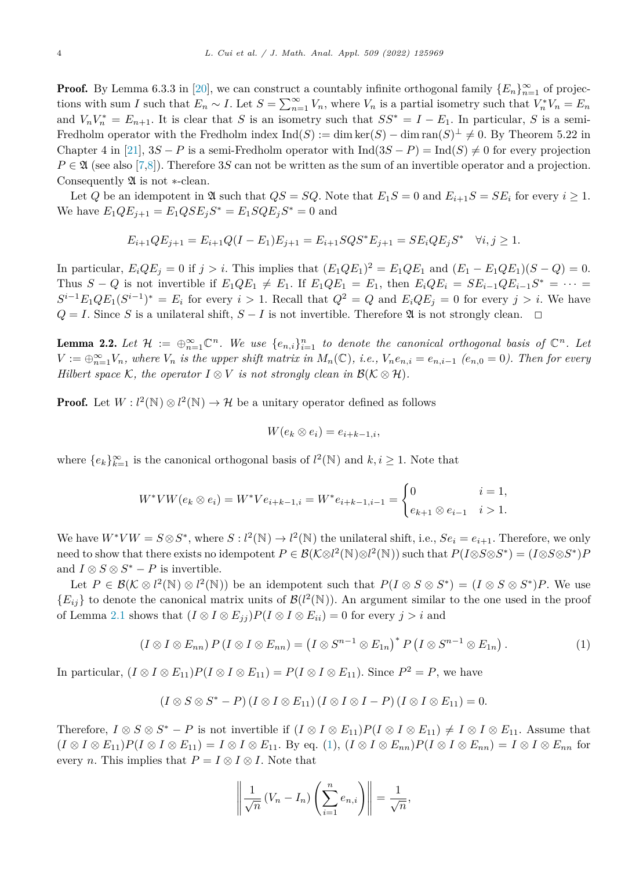<span id="page-3-0"></span>**Proof.** By Lemma 6.3.3 in [\[20](#page-20-0)], we can construct a countably infinite orthogonal family  $\{E_n\}_{n=1}^{\infty}$  of projections with sum *I* such that  $E_n \sim I$ . Let  $S = \sum_{n=1}^{\infty} V_n$ , where  $V_n$  is a partial isometry such that  $V_n^* V_n = E_n$ and  $V_n V_n^* = E_{n+1}$ . It is clear that *S* is an isometry such that  $SS^* = I - E_1$ . In particular, *S* is a semi-Fredholm operator with the Fredholm index  $\text{Ind}(S) := \dim \ker(S) - \dim \text{ran}(S)^{\perp} \neq 0$ . By Theorem 5.22 in Chapter 4 in [\[21\]](#page-20-0),  $3S - P$  is a semi-Fredholm operator with  $\text{Ind}(3S - P) = \text{Ind}(S) \neq 0$  for every projection  $P \in \mathfrak{A}$  (see also [\[7,](#page-19-0)[8](#page-20-0)]). Therefore 3*S* can not be written as the sum of an invertible operator and a projection. Consequently A is not ∗-clean.

Let *Q* be an idempotent in  $\mathfrak{A}$  such that  $QS = SQ$ . Note that  $E_1S = 0$  and  $E_{i+1}S = SE_i$  for every  $i \geq 1$ . We have  $E_1 Q E_{i+1} = E_1 Q S E_i S^* = E_1 S Q E_i S^* = 0$  and

$$
E_{i+1}QE_{j+1} = E_{i+1}Q(I - E_1)E_{j+1} = E_{i+1}SQS^*E_{j+1} = SE_iQE_jS^* \quad \forall i, j \ge 1.
$$

In particular,  $E_iQE_j = 0$  if  $j > i$ . This implies that  $(E_1QE_1)^2 = E_1QE_1$  and  $(E_1 - E_1QE_1)(S - Q) = 0$ . Thus  $S - Q$  is not invertible if  $E_1 Q E_1 \neq E_1$ . If  $E_1 Q E_1 = E_1$ , then  $E_i Q E_i = S E_{i-1} Q E_{i-1} S^* = \cdots$  $S^{i-1}E_1QE_1(S^{i-1})^* = E_i$  for every  $i > 1$ . Recall that  $Q^2 = Q$  and  $E_iQE_j = 0$  for every  $j > i$ . We have *Q* = *I*. Since *S* is a unilateral shift, *S* − *I* is not invertible. Therefore  $\mathfrak{A}$  is not strongly clean.  $\Box$ 

**Lemma 2.2.** Let  $\mathcal{H} := \bigoplus_{n=1}^{\infty} \mathbb{C}^n$ . We use  $\{e_{n,i}\}_{i=1}^n$  to denote the canonical orthogonal basis of  $\mathbb{C}^n$ . Let  $V := \bigoplus_{n=1}^{\infty} V_n$ , where  $V_n$  is the upper shift matrix in  $M_n(\mathbb{C})$ , i.e.,  $V_n e_{n,i} = e_{n,i-1}$   $(e_{n,0} = 0)$ . Then for every *Hilbert space*  $K$ *, the operator*  $I \otimes V$  *is not strongly clean in*  $\mathcal{B}(\mathcal{K} \otimes \mathcal{H})$ *.* 

**Proof.** Let  $W: l^2(\mathbb{N}) \otimes l^2(\mathbb{N}) \to \mathcal{H}$  be a unitary operator defined as follows

$$
W(e_k \otimes e_i) = e_{i+k-1,i},
$$

where  ${e_k}_{k=1}^{\infty}$  is the canonical orthogonal basis of  $l^2(\mathbb{N})$  and  $k, i \geq 1$ . Note that

$$
W^*VW(e_k \otimes e_i) = W^*Ve_{i+k-1,i} = W^*e_{i+k-1,i-1} = \begin{cases} 0 & i = 1, \\ e_{k+1} \otimes e_{i-1} & i > 1. \end{cases}
$$

We have  $W^*VW = S \otimes S^*$ , where  $S: l^2(\mathbb{N}) \to l^2(\mathbb{N})$  the unilateral shift, i.e.,  $Se_i = e_{i+1}$ . Therefore, we only need to show that there exists no idempotent  $P \in \mathcal{B}(\mathcal{K} \otimes l^2(\mathbb{N}) \otimes l^2(\mathbb{N}))$  such that  $P(I \otimes S \otimes S^*) = (I \otimes S \otimes S^*)P$ and  $I \otimes S \otimes S^* - P$  is invertible.

Let  $P \in \mathcal{B}(\mathcal{K} \otimes l^2(\mathbb{N}) \otimes l^2(\mathbb{N}))$  be an idempotent such that  $P(I \otimes S \otimes S^*) = (I \otimes S \otimes S^*)P$ . We use  ${E_{ij}}$  to denote the canonical matrix units of  $\mathcal{B}(l^2(\mathbb{N}))$ . An argument similar to the one used in the proof of Lemma [2.1](#page-2-0) shows that  $(I \otimes I \otimes E_{jj})P(I \otimes I \otimes E_{ii}) = 0$  for every  $j > i$  and

$$
(I \otimes I \otimes E_{nn}) P (I \otimes I \otimes E_{nn}) = (I \otimes S^{n-1} \otimes E_{1n})^* P (I \otimes S^{n-1} \otimes E_{1n}). \tag{1}
$$

In particular,  $(I \otimes I \otimes E_{11})P(I \otimes I \otimes E_{11}) = P(I \otimes I \otimes E_{11})$ . Since  $P^2 = P$ , we have

$$
(I\otimes S\otimes S^*-P)\,(I\otimes I\otimes E_{11})\,(I\otimes I\otimes I-P)\,(I\otimes I\otimes E_{11})=0.
$$

Therefore,  $I \otimes S \otimes S^* - P$  is not invertible if  $(I \otimes I \otimes E_{11})P(I \otimes I \otimes E_{11}) \neq I \otimes I \otimes E_{11}$ . Assume that  $(I \otimes I \otimes E_{11})P(I \otimes I \otimes E_{11}) = I \otimes I \otimes E_{11}$ . By eq. (1),  $(I \otimes I \otimes E_{nn})P(I \otimes I \otimes E_{nn}) = I \otimes I \otimes E_{nn}$  for every *n*. This implies that  $P = I \otimes I \otimes I$ . Note that

$$
\left\| \frac{1}{\sqrt{n}} \left( V_n - I_n \right) \left( \sum_{i=1}^n e_{n,i} \right) \right\| = \frac{1}{\sqrt{n}},
$$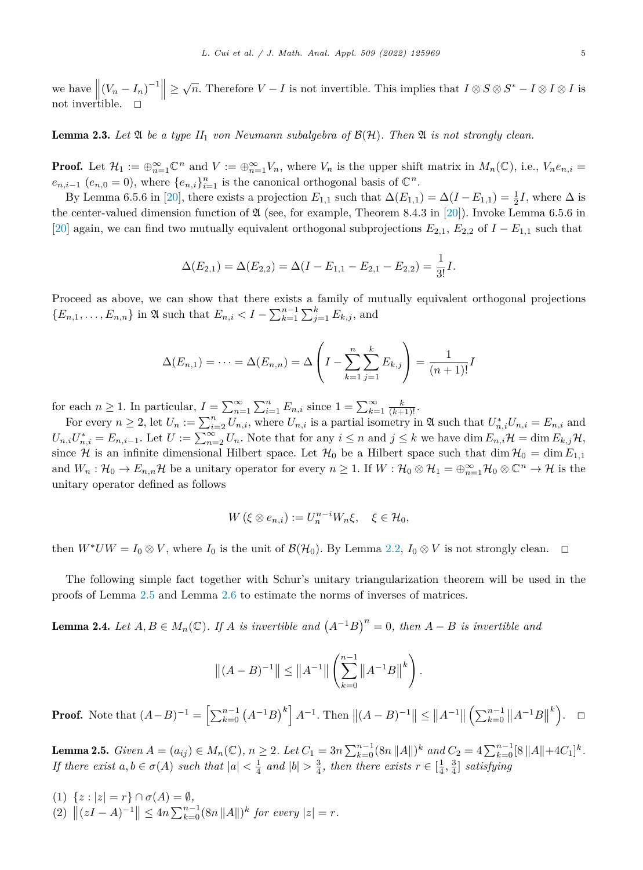<span id="page-4-0"></span>we have  $\left\| (V_n - I_n)^{-1} \right\| \ge \sqrt{n}$ . Therefore *V* − *I* is not invertible. This implies that  $I \otimes S \otimes S^* - I \otimes I \otimes I$  is not invertible. not invertible.  $\Box$ 

**Lemma 2.3.** Let  $\mathfrak{A}$  be a type  $II_1$  von Neumann subalgebra of  $\mathcal{B}(\mathcal{H})$ . Then  $\mathfrak{A}$  is not strongly clean.

**Proof.** Let  $\mathcal{H}_1 := \bigoplus_{n=1}^{\infty} \mathbb{C}^n$  and  $V := \bigoplus_{n=1}^{\infty} V_n$ , where  $V_n$  is the upper shift matrix in  $M_n(\mathbb{C})$ , i.e.,  $V_n e_{n,i} =$  $e_{n,i-1}$  ( $e_{n,0} = 0$ ), where  $\{e_{n,i}\}_{i=1}^n$  is the canonical orthogonal basis of  $\mathbb{C}^n$ .

By Lemma 6.5.6 in [\[20](#page-20-0)], there exists a projection  $E_{1,1}$  such that  $\Delta(E_{1,1}) = \Delta(I - E_{1,1}) = \frac{1}{2}I$ , where  $\Delta$  is the center-valued dimension function of  $\mathfrak A$  (see, for example, Theorem 8.4.3 in [[20\]](#page-20-0)). Invoke Lemma 6.5.6 in [[20\]](#page-20-0) again, we can find two mutually equivalent orthogonal subprojections  $E_{2,1}$ ,  $E_{2,2}$  of  $I - E_{1,1}$  such that

$$
\Delta(E_{2,1}) = \Delta(E_{2,2}) = \Delta(I - E_{1,1} - E_{2,1} - E_{2,2}) = \frac{1}{3!}I.
$$

Proceed as above, we can show that there exists a family of mutually equivalent orthogonal projections  ${E_{n,1}, \ldots, E_{n,n}}$  in  $\mathfrak A$  such that  $E_{n,i} < I - \sum_{k=1}^{n-1} \sum_{j=1}^k E_{k,j}$ , and

$$
\Delta(E_{n,1}) = \dots = \Delta(E_{n,n}) = \Delta\left(I - \sum_{k=1}^{n} \sum_{j=1}^{k} E_{k,j}\right) = \frac{1}{(n+1)!}I
$$

for each  $n \geq 1$ . In particular,  $I = \sum_{n=1}^{\infty} \sum_{i=1}^{n} E_{n,i}$  since  $1 = \sum_{k=1}^{\infty} \frac{k}{(k+1)!}$ .

For every  $n \geq 2$ , let  $U_n := \sum_{i=2}^n U_{n,i}$ , where  $U_{n,i}$  is a partial isometry in  $\mathfrak A$  such that  $U_{n,i}^* U_{n,i} = E_{n,i}$  and  $U_{n,i}U_{n,i}^* = E_{n,i-1}$ . Let  $U := \sum_{n=2}^{\infty} U_n$ . Note that for any  $i \leq n$  and  $j \leq k$  we have dim  $E_{n,i} \mathcal{H} = \dim E_{k,j} \mathcal{H}$ , since H is an infinite dimensional Hilbert space. Let  $\mathcal{H}_0$  be a Hilbert space such that dim  $\mathcal{H}_0 = \dim E_{1,1}$ and  $W_n: \mathcal{H}_0 \to E_{n,n} \mathcal{H}$  be a unitary operator for every  $n \geq 1$ . If  $W: \mathcal{H}_0 \otimes \mathcal{H}_1 = \bigoplus_{n=1}^{\infty} \mathcal{H}_0 \otimes \mathbb{C}^n \to \mathcal{H}$  is the unitary operator defined as follows

$$
W(\xi \otimes e_{n,i}) := U_n^{n-i} W_n \xi, \quad \xi \in \mathcal{H}_0,
$$

then  $W^*UW = I_0 \otimes V$ , where  $I_0$  is the unit of  $\mathcal{B}(\mathcal{H}_0)$ . By Lemma [2.2](#page-3-0),  $I_0 \otimes V$  is not strongly clean.  $\Box$ 

The following simple fact together with Schur's unitary triangularization theorem will be used in the proofs of Lemma 2.5 and Lemma [2.6](#page-5-0) to estimate the norms of inverses of matrices.

**Lemma 2.4.** Let  $A, B \in M_n(\mathbb{C})$ . If A is invertible and  $(A^{-1}B)^n = 0$ , then  $A - B$  is invertible and

$$
||(A - B)^{-1}|| \le ||A^{-1}|| \left(\sum_{k=0}^{n-1} ||A^{-1}B||^k\right).
$$

**Proof.** Note that  $(A-B)^{-1} = \left[\sum_{k=0}^{n-1} (A^{-1}B)^k\right] A^{-1}$ . Then  $||(A-B)^{-1}|| \leq ||A^{-1}|| \left(\sum_{k=0}^{n-1} ||A^{-1}B||\right)$  $\binom{k}{ }$ .  $\Box$ 

**Lemma 2.5.** Given  $A = (a_{ij}) \in M_n(\mathbb{C})$ ,  $n \geq 2$ . Let  $C_1 = 3n \sum_{k=0}^{n-1} (8n ||A||)^k$  and  $C_2 = 4 \sum_{k=0}^{n-1} [8 ||A|| + 4C_1]^k$ . If there exist  $a, b \in \sigma(A)$  such that  $|a| < \frac{1}{4}$  and  $|b| > \frac{3}{4}$ , then there exists  $r \in [\frac{1}{4}, \frac{3}{4}]$  satisfying

(1)  $\{z : |z| = r\} \cap \sigma(A) = \emptyset$ ,  $|(2) \|(zI - A)^{-1}\| \leq 4n \sum_{k=0}^{n-1} (8n ||A||)^k$  for every  $|z| = r$ .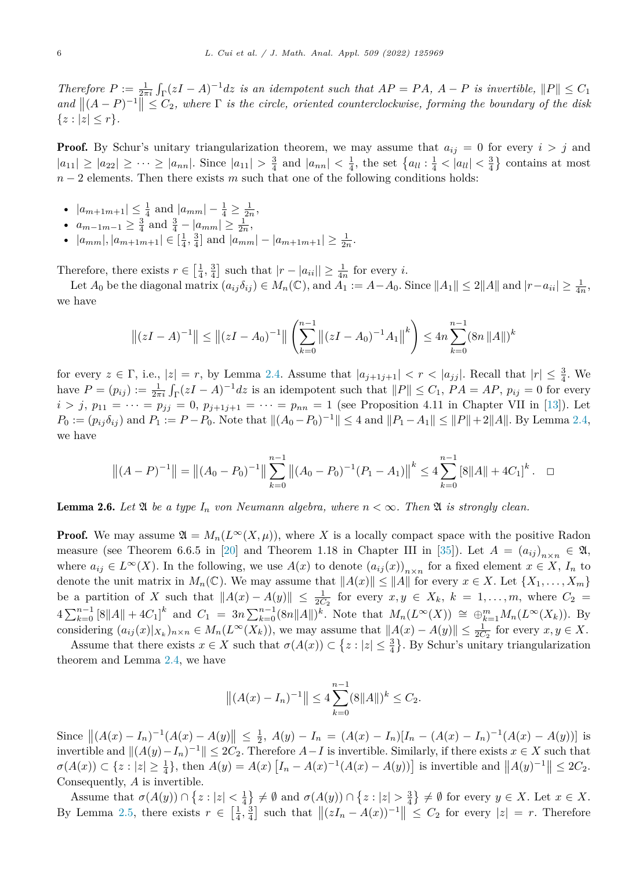<span id="page-5-0"></span>Therefore  $P := \frac{1}{2\pi i} \int_{\Gamma} (zI - A)^{-1} dz$  is an idempotent such that  $AP = PA$ ,  $A - P$  is invertible,  $||P|| \leq C_1$  $\|A - P|^{-1}$  ≤  $C_2$ , where  $\Gamma$  *is the circle, oriented counterclockwise, forming the boundary of the disk*  $\{z: |z| \leq r\}.$ 

**Proof.** By Schur's unitary triangularization theorem, we may assume that  $a_{ij} = 0$  for every  $i > j$  and  $|a_{11}| \geq |a_{22}| \geq \cdots \geq |a_{nn}|$ . Since  $|a_{11}| > \frac{3}{4}$  and  $|a_{nn}| < \frac{1}{4}$ , the set  $\{a_{ll} : \frac{1}{4} < |a_{ll}| < \frac{3}{4}\}$  contains at most *n* − 2 elements. Then there exists *m* such that one of the following conditions holds:

- $|a_{m+1m+1}| \leq \frac{1}{4}$  and  $|a_{mm}| \frac{1}{4} \geq \frac{1}{2n}$ ,
- $a_{m-1m-1} \geq \frac{3}{4}$  and  $\frac{3}{4} |a_{mm}| \geq \frac{1}{2n}$ ,
- $|a_{mm}|, |a_{m+1m+1}| \in \left[\frac{1}{4}, \frac{3}{4}\right]$  and  $|a_{mm}| |a_{m+1m+1}| \ge \frac{1}{2n}$ .

Therefore, there exists  $r \in \left[\frac{1}{4}, \frac{3}{4}\right]$  such that  $|r - |a_{ii}|| \geq \frac{1}{4n}$  for every *i*.

Let  $A_0$  be the diagonal matrix  $(a_{ij}\delta_{ij}) \in M_n(\mathbb{C})$ , and  $A_1 := A - A_0$ . Since  $||A_1|| \leq 2||A||$  and  $|r - a_{ii}| \geq \frac{1}{4n}$ , we have

$$
\|(zI - A)^{-1}\| \le \|(zI - A_0)^{-1}\| \left(\sum_{k=0}^{n-1} \|(zI - A_0)^{-1}A_1\|^k\right) \le 4n \sum_{k=0}^{n-1} (8n \|A\|)^k
$$

for every  $z \in \Gamma$ , i.e.,  $|z| = r$ , by Lemma [2.4](#page-4-0). Assume that  $|a_{j+1j+1}| < r < |a_{jj}|$ . Recall that  $|r| \leq \frac{3}{4}$ . We have  $P = (p_{ij}) := \frac{1}{2\pi i} \int_{\Gamma} (zI - A)^{-1} dz$  is an idempotent such that  $||P|| \le C_1$ ,  $PA = AP$ ,  $p_{ij} = 0$  for every  $i > j$ ,  $p_{11} = \cdots = p_{jj} = 0$ ,  $p_{j+1j+1} = \cdots = p_{nn} = 1$  (see Proposition 4.11 in Chapter VII in [\[13](#page-20-0)]). Let  $P_0 := (p_{ij}\delta_{ij})$  and  $P_1 := P - P_0$ . Note that  $||(A_0 - P_0)^{-1}|| \leq 4$  and  $||P_1 - A_1|| \leq ||P|| + 2||A||$ . By Lemma [2.4,](#page-4-0) we have

$$
||(A-P)^{-1}|| = ||(A_0 - P_0)^{-1}|| \sum_{k=0}^{n-1} ||(A_0 - P_0)^{-1}(P_1 - A_1)||^k \le 4 \sum_{k=0}^{n-1} [8||A|| + 4C_1]^k. \quad \Box
$$

**Lemma 2.6.** Let  $\mathfrak A$  be a type  $I_n$  von Neumann algebra, where  $n < \infty$ . Then  $\mathfrak A$  is strongly clean.

**Proof.** We may assume  $\mathfrak{A} = M_n(L^\infty(X,\mu))$ , where X is a locally compact space with the positive Radon measure (see Theorem 6.6.5 in [\[20](#page-20-0)] and Theorem 1.18 in Chapter III in [[35\]](#page-20-0)). Let  $A = (a_{ij})_{n \times n} \in \mathfrak{A}$ , where  $a_{ij} \in L^{\infty}(X)$ . In the following, we use  $A(x)$  to denote  $(a_{ij}(x))_{n \times n}$  for a fixed element  $x \in X$ ,  $I_n$  to denote the unit matrix in  $M_n(\mathbb{C})$ . We may assume that  $||A(x)|| \le ||A||$  for every  $x \in X$ . Let  $\{X_1, \ldots, X_m\}$ be a partition of *X* such that  $||A(x) - A(y)|| \leq \frac{1}{2C_2}$  for every  $x, y \in X_k$ ,  $k = 1, \ldots, m$ , where  $C_2 =$  $4\sum_{k=0}^{n-1} [8||A|| + 4C_1]^k$  and  $C_1 = 3n\sum_{k=0}^{n-1} (8n||A||)^k$ . Note that  $M_n(L^{\infty}(X)) \cong \bigoplus_{k=1}^{m} M_n(L^{\infty}(X_k))$ . By considering  $(a_{ij}(x)|_{X_k})_{n\times n} \in M_n(L^{\infty}(X_k))$ , we may assume that  $||A(x) - A(y)|| \leq \frac{1}{2C_2}$  for every  $x, y \in X$ .

Assume that there exists  $x \in X$  such that  $\sigma(A(x)) \subset \{z : |z| \leq \frac{3}{4}\}$ . By Schur's unitary triangularization theorem and Lemma [2.4,](#page-4-0) we have

$$
||(A(x) - I_n)^{-1}|| \le 4 \sum_{k=0}^{n-1} (8||A||)^k \le C_2.
$$

Since  $||(A(x) - I_n)^{-1}(A(x) - A(y)||) \le \frac{1}{2}$ ,  $A(y) - I_n = (A(x) - I_n)[I_n - (A(x) - I_n)^{-1}(A(x) - A(y))]$  is invertible and  $||(A(y) - I_n)^{-1}|| \leq 2C_2$ . Therefore *A*−*I* is invertible. Similarly, if there exists *x* ∈ *X* such that  $\sigma(A(x)) \subset \{z : |z| \geq \frac{1}{4}\},\$  then  $A(y) = A(x) [I_n - A(x)^{-1}(A(x) - A(y))]$  is invertible and  $||A(y)^{-1}|| \leq 2C_2$ . Consequently, *A* is invertible.

Assume that  $\sigma(A(y)) \cap \{z : |z| < \frac{1}{4}\} \neq \emptyset$  and  $\sigma(A(y)) \cap \{z : |z| > \frac{3}{4}\} \neq \emptyset$  for every  $y \in X$ . Let  $x \in X$ . By Lemma [2.5,](#page-4-0) there exists  $r \in \left[\frac{1}{4}, \frac{3}{4}\right]$  such that  $\|(zI_n - A(x))^{-1}\| \leq C_2$  for every  $|z| = r$ . Therefore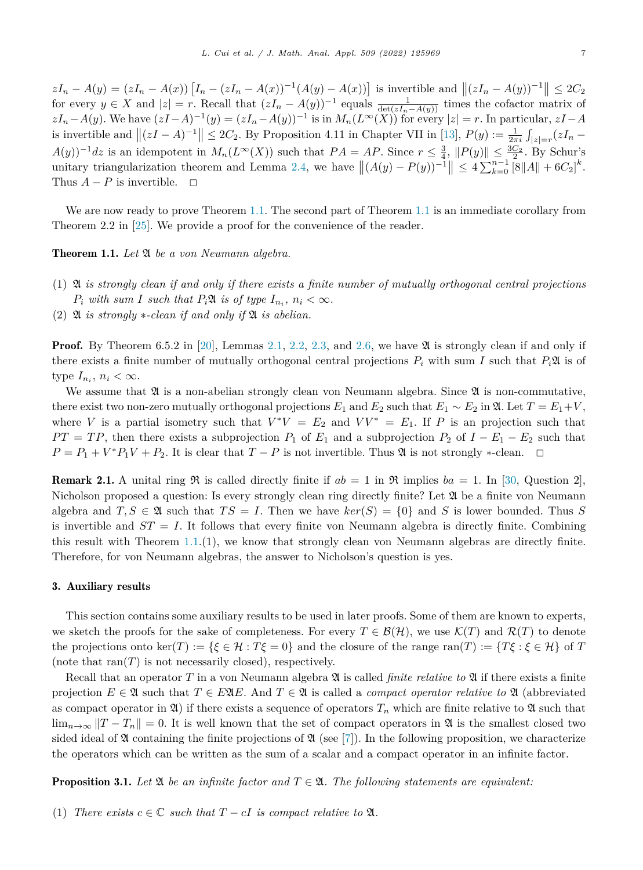<span id="page-6-0"></span> $zI_n - A(y) = (zI_n - A(x)) [I_n - (zI_n - A(x))^{-1}(A(y) - A(x))]$  is invertible and  $||(zI_n - A(y))^{-1}|| \leq 2C_2$ for every  $y \in X$  and  $|z| = r$ . Recall that  $(zI_n - A(y))^{-1}$  equals  $\frac{1}{\det(zI_n - A(y))}$  times the cofactor matrix of  $zI_n-A(y)$ . We have  $(zI-A)^{-1}(y)=(zI_n-A(y))^{-1}$  is in  $M_n(L^{\infty}(X))$  for every  $|z|=r$ . In particular,  $zI-A$ is invertible and  $||(zI - A)^{-1}|| \leq 2C_2$ . By Proposition 4.11 in Chapter VII in [[13\]](#page-20-0),  $P(y) := \frac{1}{2\pi i} \int_{|z|=r} (zI_n -$ *A*(*y*))<sup>-1</sup>*dz* is an idempotent in  $M_n(L^\infty(X))$  such that  $PA = AP$ . Since  $r ≤ \frac{3}{4}$ ,  $||P(y)|| ≤ \frac{3C_2}{1^2}$ . By Schur's unitary triangularization theorem and Lemma [2.4,](#page-4-0) we have  $||(A(y) - P(y))^{-1}|| \leq 4 \sum_{k=0}^{n-1} [8||A|| + 6C_2]^k$ . Thus  $A - P$  is invertible.  $\Box$ 

We are now ready to prove Theorem [1.1.](#page-2-0) The second part of Theorem [1.1](#page-2-0) is an immediate corollary from Theorem 2.2 in [[25\]](#page-20-0). We provide a proof for the convenience of the reader.

Theorem 1.1. *Let* A *be a von Neumann algebra.*

- (1)  $\mathfrak A$  is strongly clean if and only if there exists a finite number of mutually orthogonal central projections *P*<sub>*i*</sub> *with sum I such that*  $P_i\mathfrak{A}$  *is of type*  $I_{n_i}$ ,  $n_i < \infty$ *.*
- $(2)$  **2** *is strongly*  $\ast$ -*clean if* and *only if* **2** *is abelian.*

**Proof.** By Theorem 6.5.2 in [\[20](#page-20-0)], Lemmas [2.1](#page-2-0), [2.2](#page-3-0), [2.3,](#page-4-0) and [2.6](#page-5-0), we have  $\mathfrak{A}$  is strongly clean if and only if there exists a finite number of mutually orthogonal central projections  $P_i$  with sum *I* such that  $P_i\mathfrak{A}$  is of type  $I_{n_i}$ ,  $n_i < \infty$ .

We assume that  $\mathfrak A$  is a non-abelian strongly clean von Neumann algebra. Since  $\mathfrak A$  is non-commutative, there exist two non-zero mutually orthogonal projections  $E_1$  and  $E_2$  such that  $E_1 \sim E_2$  in  $\mathfrak{A}$ . Let  $T = E_1 + V$ , where *V* is a partial isometry such that  $V^*V = E_2$  and  $VV^* = E_1$ . If *P* is an projection such that  $PT = TP$ , then there exists a subprojection  $P_1$  of  $E_1$  and a subprojection  $P_2$  of  $I - E_1 - E_2$  such that  $P = P_1 + V^*P_1V + P_2$ . It is clear that  $T - P$  is not invertible. Thus  $\mathfrak A$  is not strongly ∗-clean.  $\Box$ 

**Remark 2.1.** A unital ring  $\Re$  is called directly finite if  $ab = 1$  in  $\Re$  implies  $ba = 1$ . In [\[30](#page-20-0), Question 2], Nicholson proposed a question: Is every strongly clean ring directly finite? Let  $\mathfrak{A}$  be a finite von Neumann algebra and  $T, S \in \mathfrak{A}$  such that  $TS = I$ . Then we have  $\ker(S) = \{0\}$  and *S* is lower bounded. Thus *S* is invertible and  $ST = I$ . It follows that every finite von Neumann algebra is directly finite. Combining this result with Theorem  $1.1(1)$  $1.1(1)$ , we know that strongly clean von Neumann algebras are directly finite. Therefore, for von Neumann algebras, the answer to Nicholson's question is yes.

#### 3. Auxiliary results

This section contains some auxiliary results to be used in later proofs. Some of them are known to experts, we sketch the proofs for the sake of completeness. For every  $T \in \mathcal{B}(\mathcal{H})$ , we use  $\mathcal{K}(T)$  and  $\mathcal{R}(T)$  to denote the projections onto ker(*T*) := { $\xi \in \mathcal{H}$  :  $T\xi = 0$ } and the closure of the range ran(*T*) := { $T\xi : \xi \in \mathcal{H}$ } of *T* (note that  $ran(T)$  is not necessarily closed), respectively.

Recall that an operator *T* in a von Neumann algebra A is called *finite relative to* A if there exists a finite projection  $E \in \mathfrak{A}$  such that  $T \in E \mathfrak{A}E$ . And  $T \in \mathfrak{A}$  is called a *compact operator relative to*  $\mathfrak{A}$  (abbreviated as compact operator in  $\mathfrak{A}$ ) if there exists a sequence of operators  $T_n$  which are finite relative to  $\mathfrak{A}$  such that  $\lim_{n\to\infty}$   $||T-T_n||=0$ . It is well known that the set of compact operators in  $\mathfrak A$  is the smallest closed two sided ideal of  $\mathfrak A$  containing the finite projections of  $\mathfrak A$  (see [[7\]](#page-19-0)). In the following proposition, we characterize the operators which can be written as the sum of a scalar and a compact operator in an infinite factor.

**Proposition 3.1.** Let  $\mathfrak{A}$  be an infinite factor and  $T \in \mathfrak{A}$ . The following statements are equivalent:

(1) *There exists*  $c \in \mathbb{C}$  *such that*  $T - cI$  *is compact relative to*  $\mathfrak{A}$ *.*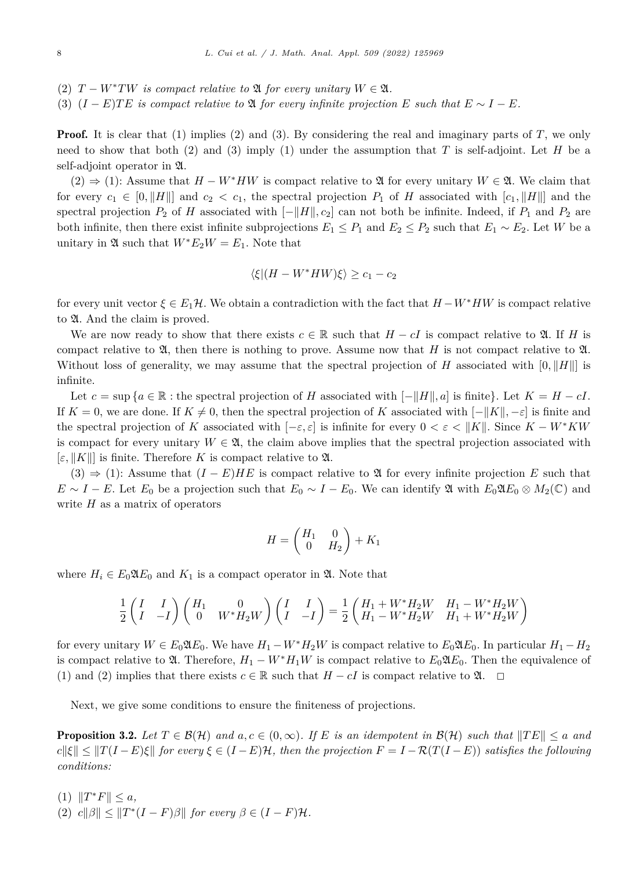- <span id="page-7-0"></span>(2)  $T - W^*TW$  *is compact relative to*  $\mathfrak{A}$  *for every unitary*  $W \in \mathfrak{A}$ *.*
- (3)  $(I E)TE$  is compact relative to  $\mathfrak{A}$  for every infinite projection  $E$  such that  $E \sim I E$ .

**Proof.** It is clear that (1) implies (2) and (3). By considering the real and imaginary parts of *T*, we only need to show that both (2) and (3) imply (1) under the assumption that *T* is self-adjoint. Let *H* be a self-adjoint operator in A.

 $(2)$   $\Rightarrow$  (1): Assume that *H* − *W*<sup>∗</sup>*HW* is compact relative to 2t for every unitary *W* ∈ 2t. We claim that for every  $c_1 \in [0, \|H\|]$  and  $c_2 < c_1$ , the spectral projection  $P_1$  of H associated with  $[c_1, \|H\|]$  and the spectral projection  $P_2$  of *H* associated with  $[-||H||, c_2]$  can not both be infinite. Indeed, if  $P_1$  and  $P_2$  are both infinite, then there exist infinite subprojections  $E_1 \leq P_1$  and  $E_2 \leq P_2$  such that  $E_1 \sim E_2$ . Let *W* be a unitary in  $\mathfrak{A}$  such that  $W^*E_2W = E_1$ . Note that

$$
\langle \xi | (H - W^* H W) \xi \rangle \ge c_1 - c_2
$$

for every unit vector  $\xi \in E_1\mathcal{H}$ . We obtain a contradiction with the fact that  $H - W^* H W$  is compact relative to  $\mathfrak A$ . And the claim is proved.

We are now ready to show that there exists  $c \in \mathbb{R}$  such that  $H - cI$  is compact relative to  $\mathfrak{A}$ . If *H* is compact relative to  $\mathfrak{A}$ , then there is nothing to prove. Assume now that *H* is not compact relative to  $\mathfrak{A}$ . Without loss of generality, we may assume that the spectral projection of *H* associated with  $[0, \|H\|]$  is infinite.

Let  $c = \sup \{a \in \mathbb{R} : \text{the spectral projection of } H \text{ associated with } [-||H||, a] \text{ is finite}\}\)$ . Let  $K = H - cI$ . If  $K = 0$ , we are done. If  $K \neq 0$ , then the spectral projection of  $K$  associated with  $[-||K||, -\varepsilon]$  is finite and the spectral projection of *K* associated with  $[-\varepsilon, \varepsilon]$  is infinite for every  $0 < \varepsilon < ||K||$ . Since  $K - W^*KW$ is compact for every unitary  $W \in \mathfrak{A}$ , the claim above implies that the spectral projection associated with  $[\varepsilon, ||K||]$  is finite. Therefore *K* is compact relative to **2.** 

(3)  $\Rightarrow$  (1): Assume that  $(I - E)HE$  is compact relative to  $\mathfrak A$  for every infinite projection *E* such that  $E \sim I - E$ . Let  $E_0$  be a projection such that  $E_0 \sim I - E_0$ . We can identify  $\mathfrak{A}$  with  $E_0 \mathfrak{A} E_0 \otimes M_2(\mathbb{C})$  and write *H* as a matrix of operators

$$
H = \begin{pmatrix} H_1 & 0 \\ 0 & H_2 \end{pmatrix} + K_1
$$

where  $H_i \in E_0 \mathfrak{A} E_0$  and  $K_1$  is a compact operator in  $\mathfrak{A}$ . Note that

$$
\frac{1}{2}\begin{pmatrix} I & I \\ I & -I \end{pmatrix}\begin{pmatrix} H_1 & 0 \\ 0 & W^*H_2W \end{pmatrix}\begin{pmatrix} I & I \\ I & -I \end{pmatrix} = \frac{1}{2}\begin{pmatrix} H_1 + W^*H_2W & H_1 - W^*H_2W \\ H_1 - W^*H_2W & H_1 + W^*H_2W \end{pmatrix}
$$

for every unitary  $W \in E_0 \mathfrak{A} E_0$ . We have  $H_1 - W^* H_2 W$  is compact relative to  $E_0 \mathfrak{A} E_0$ . In particular  $H_1 - H_2$ is compact relative to  $\mathfrak{A}$ . Therefore,  $H_1 - W^*H_1W$  is compact relative to  $E_0\mathfrak{A}E_0$ . Then the equivalence of (1) and (2) implies that there exists  $c \in \mathbb{R}$  such that  $H - cI$  is compact relative to  $\mathfrak{A}$ .  $\Box$ 

Next, we give some conditions to ensure the finiteness of projections.

**Proposition 3.2.** Let  $T \in \mathcal{B}(\mathcal{H})$  and  $a, c \in (0, \infty)$ . If E is an idempotent in  $\mathcal{B}(\mathcal{H})$  such that  $||TE|| \le a$  and  $c||\xi|| \leq ||T(I-E)\xi||$  for every  $\xi \in (I-E)\mathcal{H}$ , then the projection  $F = I - \mathcal{R}(T(I-E))$  satisfies the following *conditions:*

- $(1)$   $||T^*F|| \leq a$ ,
- $(2)$   $c\|\beta\| \leq \|T^*(I-F)\beta\|$  for every  $\beta \in (I-F)\mathcal{H}$ .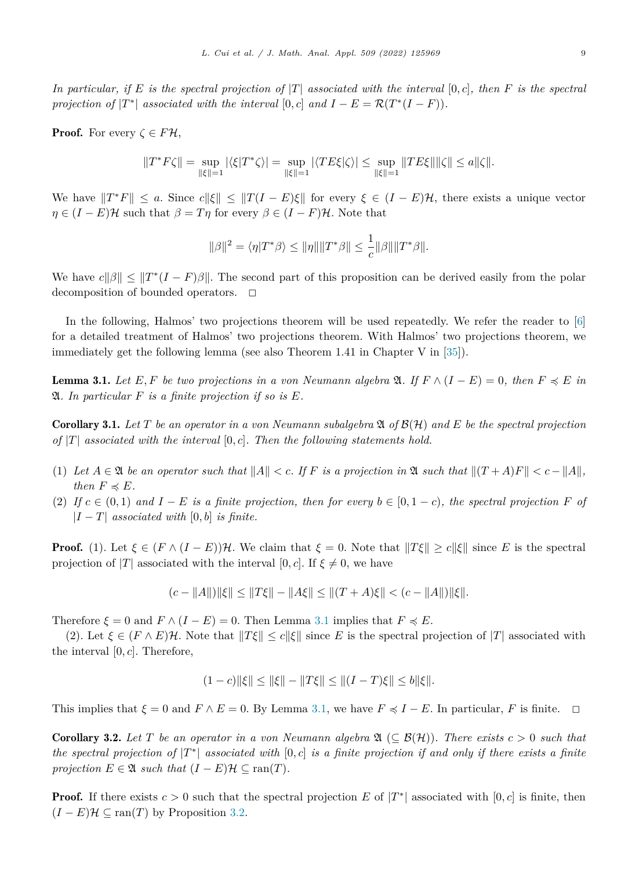<span id="page-8-0"></span>In particular, if E is the spectral projection of  $|T|$  associated with the interval [0, c], then F is the spectral *projection of*  $|T^*|$  *associated with the interval*  $[0, c]$  *and*  $I - E = \mathcal{R}(T^*(I - F)).$ 

**Proof.** For every  $\zeta \in F\mathcal{H}$ ,

$$
\|T^*F\zeta\|=\sup_{\|\xi\|=1}|\langle\xi|T^*\zeta\rangle|=\sup_{\|\xi\|=1}|\langle TE\xi|\zeta\rangle|\leq \sup_{\|\xi\|=1}\|TE\xi\|\|\zeta\|\leq a\|\zeta\|.
$$

We have  $||T^*F|| < a$ . Since  $c||\xi|| < ||T(I - E)\xi||$  for every  $\xi \in (I - E)\mathcal{H}$ , there exists a unique vector  $\eta \in (I - E)\mathcal{H}$  such that  $\beta = T\eta$  for every  $\beta \in (I - F)\mathcal{H}$ . Note that

$$
\|\beta\|^2 = \langle \eta|T^*\beta\rangle \le \|\eta\| \|T^*\beta\| \le \frac{1}{c}\|\beta\|\|T^*\beta\|.
$$

We have  $c||\beta|| \leq ||T^*(I - F)\beta||$ . The second part of this proposition can be derived easily from the polar decomposition of bounded operators.  $\Box$ 

In the following, Halmos' two projections theorem will be used repeatedly. We refer the reader to [[6\]](#page-19-0) for a detailed treatment of Halmos' two projections theorem. With Halmos' two projections theorem, we immediately get the following lemma (see also Theorem 1.41 in Chapter V in [\[35](#page-20-0)]).

**Lemma 3.1.** Let E, F be two projections in a von Neumann algebra  $\mathfrak{A}$ . If  $F \wedge (I - E) = 0$ , then  $F \preccurlyeq E$  in A*. In particular F is a finite projection if so is E.*

**Corollary 3.1.** Let T be an operator in a von Neumann subalgebra  $\mathfrak{A}$  of  $\mathcal{B}(\mathcal{H})$  and E be the spectral projection *of* |*T*| *associated with the interval* [0*, c*]*. Then the following statements hold.*

- (1) Let  $A \in \mathfrak{A}$  be an operator such that  $||A|| < c$ . If F is a projection in  $\mathfrak{A}$  such that  $||(T + A)F|| < c ||A||$ , *then*  $F \preccurlyeq E$ *.*
- (2) If  $c \in (0,1)$  and  $I E$  is a finite projection, then for every  $b \in [0,1-c)$ , the spectral projection F of  $|I - T|$  *associated with*  $[0, b]$  *is finite.*

**Proof.** (1). Let  $\xi \in (F \wedge (I - E))\mathcal{H}$ . We claim that  $\xi = 0$ . Note that  $||T\xi|| \ge c||\xi||$  since *E* is the spectral projection of  $|T|$  associated with the interval  $[0, c]$ . If  $\xi \neq 0$ , we have

$$
(c - ||A||) ||\xi|| \le ||T\xi|| - ||A\xi|| \le ||(T+A)\xi|| < (c - ||A||) ||\xi||.
$$

Therefore  $\xi = 0$  and  $F \wedge (I - E) = 0$ . Then Lemma 3.1 implies that  $F \preccurlyeq E$ .

(2). Let  $\xi \in (F \wedge E)\mathcal{H}$ . Note that  $||T\xi|| \leq c||\xi||$  since *E* is the spectral projection of  $|T|$  associated with the interval  $[0, c]$ . Therefore,

$$
(1-c)\|\xi\| \le \|\xi\| - \|T\xi\| \le \|(I-T)\xi\| \le b\|\xi\|.
$$

This implies that  $\xi = 0$  and  $F \wedge E = 0$ . By Lemma 3.1, we have  $F \preccurlyeq I - E$ . In particular,  $F$  is finite.  $\Box$ 

**Corollary 3.2.** Let T be an operator in a von Neumann algebra  $\mathfrak{A} \subset \mathcal{B}(\mathcal{H})$ . There exists  $c > 0$  such that the spectral projection of  $|T^*|$  associated with  $[0, c]$  is a finite projection if and only if there exists a finite *projection*  $E \in \mathfrak{A}$  *such that*  $(I - E)\mathcal{H} \subseteq \text{ran}(T)$ *.* 

**Proof.** If there exists  $c > 0$  such that the spectral projection E of  $|T^*|$  associated with  $[0, c]$  is finite, then  $(I - E)\mathcal{H} \subseteq \text{ran}(T)$  by Proposition [3.2](#page-7-0).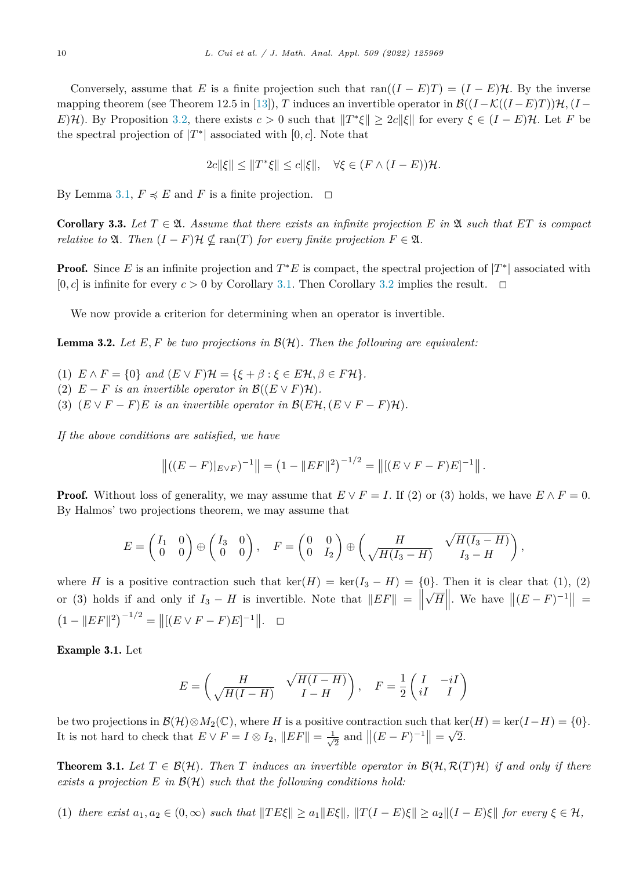<span id="page-9-0"></span>Conversely, assume that *E* is a finite projection such that ran( $(I - E)T$ ) =  $(I - E)H$ . By the inverse mapping theorem (see Theorem 12.5 in [\[13](#page-20-0)]), *T* induces an invertible operator in  $\mathcal{B}((I-\mathcal{K}((I-E)T))\mathcal{H}, (I-E)T)$ *E*)H). By Proposition [3.2](#page-7-0), there exists  $c > 0$  such that  $||T^*\xi|| \geq 2c||\xi||$  for every  $\xi \in (I - E)\mathcal{H}$ . Let *F* be the spectral projection of  $|T^*|$  associated with  $[0, c]$ . Note that

$$
2c\|\xi\| \le \|T^*\xi\| \le c\|\xi\|, \quad \forall \xi \in (F \wedge (I - E))\mathcal{H}.
$$

By Lemma [3.1](#page-8-0),  $F \preccurlyeq E$  and  $F$  is a finite projection.  $\Box$ 

**Corollary 3.3.** Let  $T \in \mathfrak{A}$ . Assume that there exists an infinite projection E in  $\mathfrak{A}$  such that ET is compact *relative to*  $\mathfrak{A}$ *. Then*  $(I - F)\mathcal{H} \nsubseteq \text{ran}(T)$  *for every finite projection*  $F \in \mathfrak{A}$ *.* 

**Proof.** Since *E* is an infinite projection and  $T^*E$  is compact, the spectral projection of  $|T^*|$  associated with  $[0, c]$  is infinite for every  $c > 0$  by Corollary [3.1](#page-8-0). Then Corollary [3.2](#page-8-0) implies the result.  $\Box$ 

We now provide a criterion for determining when an operator is invertible.

Lemma 3.2. *Let E, F be two projections in* B(H)*. Then the following are equivalent:*

- (1)  $E \wedge F = \{0\}$  and  $(E \vee F)H = \{\xi + \beta : \xi \in E\mathcal{H}, \beta \in F\mathcal{H}\}.$
- (2)  $E F$  *is an invertible operator in*  $\mathcal{B}((E \vee F)\mathcal{H})$ *.*
- (3)  $(E \vee F F)E$  *is an invertible operator in*  $\mathcal{B}(E\mathcal{H}, (E \vee F F)\mathcal{H})$ *.*

*If the above conditions are satisfied, we have*

$$
\left\| \left( (E - F)|_{E \vee F} \right)^{-1} \right\| = \left( 1 - \|EF\|^2 \right)^{-1/2} = \left\| \left[ (E \vee F - F)E \right]^{-1} \right\|.
$$

**Proof.** Without loss of generality, we may assume that  $E \vee F = I$ . If (2) or (3) holds, we have  $E \wedge F = 0$ . By Halmos' two projections theorem, we may assume that

$$
E = \begin{pmatrix} I_1 & 0 \\ 0 & 0 \end{pmatrix} \oplus \begin{pmatrix} I_3 & 0 \\ 0 & 0 \end{pmatrix}, \quad F = \begin{pmatrix} 0 & 0 \\ 0 & I_2 \end{pmatrix} \oplus \begin{pmatrix} H & \sqrt{H(I_3 - H)} \\ \sqrt{H(I_3 - H)} & I_3 - H \end{pmatrix},
$$

where *H* is a positive contraction such that ker(*H*) = ker( $I_3 - H$ ) = {0}. Then it is clear that (1), (2) or (3) holds if and only if  $I_3 - H$  is invertible. Note that  $||EF|| =$  $\sqrt{H}$  We have  $||(E - F)^{-1}|| =$  $(1 - ||EF||^2)^{-1/2} = ||[(E \vee F - F)E]^{-1}||. \square$ 

Example 3.1. Let

$$
E = \begin{pmatrix} H & \sqrt{H(I-H)} \\ \sqrt{H(I-H)} & I-H \end{pmatrix}, \quad F = \frac{1}{2} \begin{pmatrix} I & -iI \\ iI & I \end{pmatrix}
$$

be two projections in  $\mathcal{B}(\mathcal{H}) \otimes M_2(\mathbb{C})$ , where *H* is a positive contraction such that ker(*H*) = ker(*I*−*H*) = {0}. It is not hard to check that  $E \vee F = I \otimes I_2$ ,  $||EF|| = \frac{1}{\sqrt{2}}$  and  $||(E - F)^{-1}|| = \sqrt{2}$ .

**Theorem 3.1.** Let  $T \in \mathcal{B}(\mathcal{H})$ . Then T induces an invertible operator in  $\mathcal{B}(\mathcal{H}, \mathcal{R}(T)\mathcal{H})$  if and only if there *exists a projection E in* B(H) *such that the following conditions hold:*

(1) there exist  $a_1, a_2 \in (0, \infty)$  such that  $||TE\xi|| \ge a_1 ||E\xi||$ ,  $||T(I-E)\xi|| \ge a_2 ||(I-E)\xi||$  for every  $\xi \in \mathcal{H}$ ,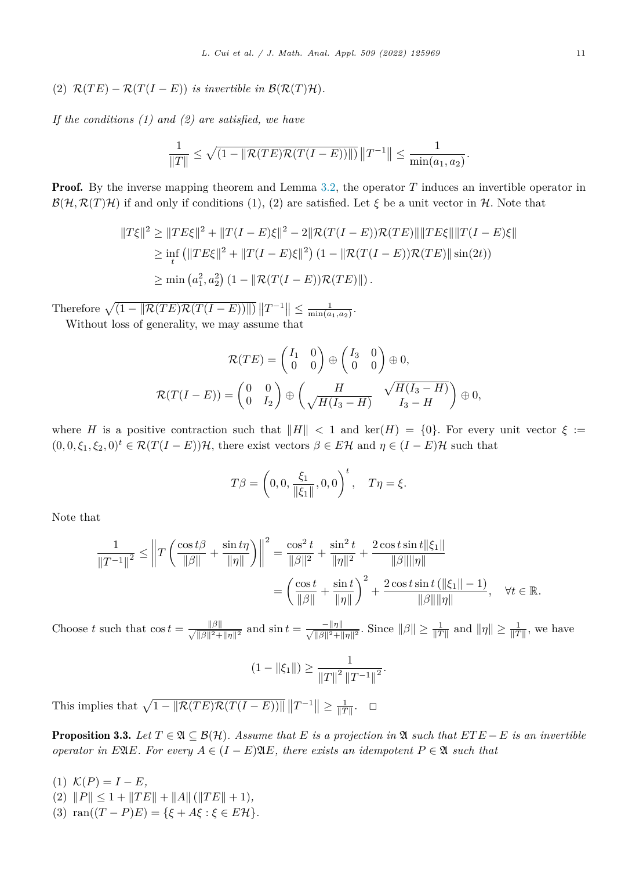<span id="page-10-0"></span>(2)  $\mathcal{R}(TE) - \mathcal{R}(T(I - E))$  *is invertible in*  $\mathcal{B}(\mathcal{R}(T)\mathcal{H})$ *.* 

*If the conditions (1) and (2) are satisfied, we have*

$$
\frac{1}{\|T\|} \le \sqrt{(1 - \|\mathcal{R}(TE)\mathcal{R}(T(I - E))\|)} \|T^{-1}\| \le \frac{1}{\min(a_1, a_2)}.
$$

**Proof.** By the inverse mapping theorem and Lemma [3.2,](#page-9-0) the operator *T* induces an invertible operator in  $\mathcal{B}(\mathcal{H}, \mathcal{R}(T)\mathcal{H})$  if and only if conditions (1), (2) are satisfied. Let  $\xi$  be a unit vector in  $\mathcal{H}$ . Note that

$$
||T\xi||^2 \ge ||TE\xi||^2 + ||T(I - E)\xi||^2 - 2||\mathcal{R}(T(I - E))\mathcal{R}(TE)||||TE\xi|| ||T(I - E)\xi||
$$
  
\n
$$
\ge \inf_t (||TE\xi||^2 + ||T(I - E)\xi||^2) (1 - ||\mathcal{R}(T(I - E))\mathcal{R}(TE)||\sin(2t))
$$
  
\n
$$
\ge \min(a_1^2, a_2^2) (1 - ||\mathcal{R}(T(I - E))\mathcal{R}(TE)||).
$$

Therefore  $\sqrt{(1 - ||\mathcal{R}(TE)\mathcal{R}(T(I - E))||)} ||T^{-1}|| \leq \frac{1}{\min(a_1, a_2)}$ . Without loss of generality, we may assume that

$$
\mathcal{R}(TE) = \begin{pmatrix} I_1 & 0 \\ 0 & 0 \end{pmatrix} \oplus \begin{pmatrix} I_3 & 0 \\ 0 & 0 \end{pmatrix} \oplus 0,
$$
  

$$
\mathcal{R}(T(I - E)) = \begin{pmatrix} 0 & 0 \\ 0 & I_2 \end{pmatrix} \oplus \begin{pmatrix} H & \sqrt{H(I_3 - H)} \\ \sqrt{H(I_3 - H)} & I_3 - H \end{pmatrix} \oplus 0,
$$

where *H* is a positive contraction such that  $||H|| < 1$  and ker(*H*) = {0}. For every unit vector  $\xi :=$  $(0,0,\xi_1,\xi_2,0)^t \in \mathcal{R}(T(I-E))\mathcal{H}$ , there exist vectors  $\beta \in E\mathcal{H}$  and  $\eta \in (I-E)\mathcal{H}$  such that

$$
T\beta = \left(0, 0, \frac{\xi_1}{\|\xi_1\|}, 0, 0\right)^t, \quad T\eta = \xi.
$$

Note that

$$
\frac{1}{\|T^{-1}\|^2} \le \left\|T\left(\frac{\cos t\beta}{\|\beta\|} + \frac{\sin t\eta}{\|\eta\|}\right)\right\|^2 = \frac{\cos^2 t}{\|\beta\|^2} + \frac{\sin^2 t}{\|\eta\|^2} + \frac{2\cos t \sin t \|\xi_1\|}{\|\beta\|\|\eta\|} \\
= \left(\frac{\cos t}{\|\beta\|} + \frac{\sin t}{\|\eta\|}\right)^2 + \frac{2\cos t \sin t (\|\xi_1\| - 1)}{\|\beta\|\|\eta\|}, \quad \forall t \in \mathbb{R}.
$$

Choose *t* such that  $\cos t = \frac{\|\beta\|}{\sqrt{\|\beta\|^2 + \|\eta\|^2}}$  and  $\sin t = \frac{-\|\eta\|}{\sqrt{\|\beta\|^2 + \|\eta\|^2}}$ . Since  $\|\beta\| \ge \frac{1}{\|T\|}$  and  $\|\eta\| \ge \frac{1}{\|T\|}$ , we have

$$
(1 - \|\xi_1\|) \ge \frac{1}{\|T\|^2 \, \|T^{-1}\|^2}.
$$

This implies that  $\sqrt{1 - ||\mathcal{R}(TE)\mathcal{R}(T(I - E))||} ||T^{-1}|| \ge \frac{1}{||T||}$ .  $\Box$ 

**Proposition 3.3.** Let  $T \in \mathfrak{A} \subseteq \mathcal{B}(\mathcal{H})$ . Assume that E is a projection in  $\mathfrak{A}$  such that  $ETE - E$  is an invertible *operator in E*<sub>A</sub>*E. For every*  $A \in (I - E)$ <sup>2</sup>*A<sub></sub>E, there exists an idempotent*  $P \in \mathfrak{A}$  *such that* 

- (1)  $K(P) = I E$ ,
- $||P|| \leq 1 + ||TE|| + ||A|| (||TE|| + 1),$ (3)  $\text{ran}((T - P)E) = {\xi + A\xi : \xi \in E\mathcal{H}}.$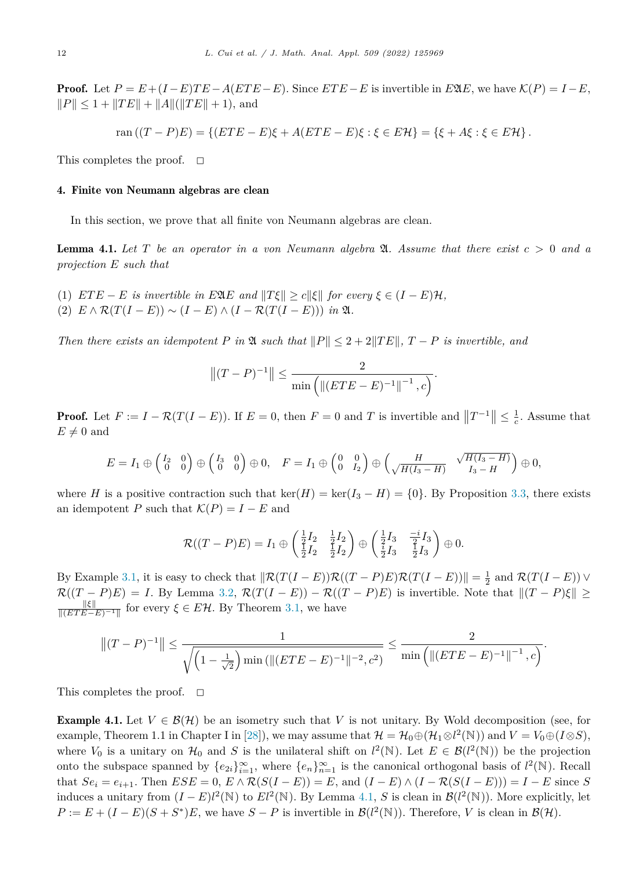<span id="page-11-0"></span>**Proof.** Let  $P = E + (I - E)TE - A(ETE - E)$ . Since  $ETE - E$  is invertible in  $E\mathfrak{A}E$ , we have  $\mathcal{K}(P) = I - E$ ,  $||P|| \le 1 + ||TE|| + ||A||(||TE|| + 1)$ , and

$$
\text{ran} ((T - P)E) = \{ (ETE - E)\xi + A(ETE - E)\xi : \xi \in E\mathcal{H} \} = \{ \xi + A\xi : \xi \in E\mathcal{H} \}.
$$

This completes the proof.  $\Box$ 

# 4. Finite von Neumann algebras are clean

In this section, we prove that all finite von Neumann algebras are clean.

**Lemma 4.1.** Let T be an operator in a von Neumann algebra  $\mathfrak{A}$ . Assume that there exist  $c > 0$  and a *projection E such that*

- (1)  $ETE E$  *is invertible in*  $E2(E$  *and*  $||T\xi|| \ge c||\xi||$  *for every*  $\xi \in (I E)\mathcal{H}$ ,
- $(2)$   $E \wedge \mathcal{R}(T(I E)) \sim (I E) \wedge (I \mathcal{R}(T(I E)))$  *in*  $\mathfrak{A}$ *.*

*Then there exists* an *idempotent P in*  $\mathfrak{A}$  *such that*  $||P|| \leq 2 + 2||TE||$ ,  $T - P$  *is invertible,* and

$$
||(T - P)^{-1}|| \le \frac{2}{\min\left(||(ETE - E)^{-1}||^{-1}, c\right)}.
$$

**Proof.** Let  $F := I - \mathcal{R}(T(I - E))$ . If  $E = 0$ , then  $F = 0$  and  $T$  is invertible and  $||T^{-1}|| \leq \frac{1}{c}$ . Assume that  $E \neq 0$  and

$$
E = I_1 \oplus \begin{pmatrix} I_2 & 0 \\ 0 & 0 \end{pmatrix} \oplus \begin{pmatrix} I_3 & 0 \\ 0 & 0 \end{pmatrix} \oplus 0, \quad F = I_1 \oplus \begin{pmatrix} 0 & 0 \\ 0 & I_2 \end{pmatrix} \oplus \begin{pmatrix} H & \sqrt{H(I_3 - H)} \\ \sqrt{H(I_3 - H)} & I_3 - H \end{pmatrix} \oplus 0,
$$

where *H* is a positive contraction such that ker(*H*) = ker( $I_3 - H$ ) = {0}. By Proposition [3.3,](#page-10-0) there exists an idempotent *P* such that  $\mathcal{K}(P) = I - E$  and

$$
\mathcal{R}((T-P)E) = I_1 \oplus \begin{pmatrix} \frac{1}{2}I_2 & \frac{1}{2}I_2 \\ \frac{1}{2}I_2 & \frac{1}{2}I_2 \end{pmatrix} \oplus \begin{pmatrix} \frac{1}{2}I_3 & \frac{-i}{2}I_3 \\ \frac{i}{2}I_3 & \frac{1}{2}I_3 \end{pmatrix} \oplus 0.
$$

By Example [3.1,](#page-9-0) it is easy to check that  $\|\mathcal{R}(T(I - E))\mathcal{R}((T - P)E)\mathcal{R}(T(I - E))\| = \frac{1}{2}$  and  $\mathcal{R}(T(I - E))$   $\vee$  $\mathcal{R}((T - P)E) = I$ . By Lemma [3.2,](#page-9-0)  $\mathcal{R}(T(I - E)) - \mathcal{R}((T - P)E)$  is invertible. Note that  $||(T - P)\xi|| \ge$  $\frac{\|\xi\|}{\|(ETE-E)^{-1}\|}$  for every  $\xi \in E\mathcal{H}$ . By Theorem [3.1,](#page-9-0) we have

$$
||(T-P)^{-1}|| \le \frac{1}{\sqrt{\left(1-\frac{1}{\sqrt{2}}\right)\min\left(\|(ETE-E)^{-1}\|^{-2},c^2\right)}} \le \frac{2}{\min\left(\|(ETE-E)^{-1}\|^{-1},c\right)}.
$$

This completes the proof.  $\Box$ 

**Example 4.1.** Let  $V \in \mathcal{B}(\mathcal{H})$  be an isometry such that V is not unitary. By Wold decomposition (see, for example, Theorem 1.1 in Chapter I in [\[28](#page-20-0)]), we may assume that  $\mathcal{H} = \mathcal{H}_0 \oplus (\mathcal{H}_1 \otimes l^2(\mathbb{N}))$  and  $V = V_0 \oplus (I \otimes S)$ , where  $V_0$  is a unitary on  $\mathcal{H}_0$  and *S* is the unilateral shift on  $l^2(\mathbb{N})$ . Let  $E \in \mathcal{B}(l^2(\mathbb{N}))$  be the projection onto the subspace spanned by  $\{e_{2i}\}_{i=1}^{\infty}$ , where  $\{e_n\}_{n=1}^{\infty}$  is the canonical orthogonal basis of  $l^2(\mathbb{N})$ . Recall that  $Se_i = e_{i+1}$ . Then  $ESE = 0$ ,  $E \wedge \mathcal{R}(S(I - E)) = E$ , and  $(I - E) \wedge (I - \mathcal{R}(S(I - E))) = I - E$  since S induces a unitary from  $(I - E)l^2(\mathbb{N})$  to  $El^2(\mathbb{N})$ . By Lemma 4.1, *S* is clean in  $\mathcal{B}(l^2(\mathbb{N}))$ . More explicitly, let  $P := E + (I - E)(S + S^*)E$ , we have  $S - P$  is invertible in  $\mathcal{B}(l^2(\mathbb{N}))$ . Therefore, *V* is clean in  $\mathcal{B}(\mathcal{H})$ .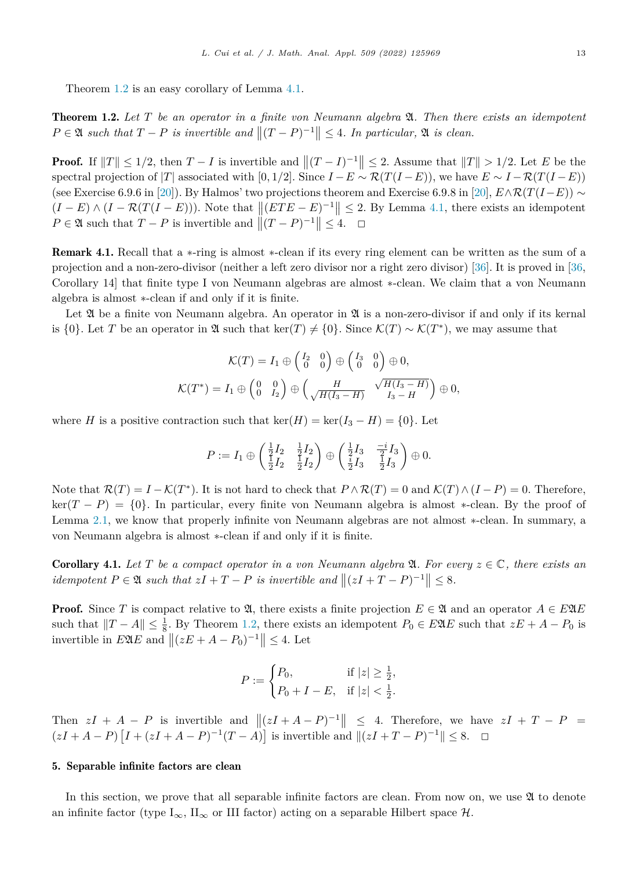<span id="page-12-0"></span>Theorem [1.2](#page-2-0) is an easy corollary of Lemma [4.1](#page-11-0).

Theorem 1.2. *Let T be an operator in a finite von Neumann algebra* A*. Then there exists an idempotent*  $P \in \mathfrak{A}$  *such that*  $T - P$  *is invertible and*  $||(T - P)^{-1}|| \leq 4$ *. In particular,*  $\mathfrak{A}$  *is clean.* 

**Proof.** If  $||T|| \leq 1/2$ , then  $T - I$  is invertible and  $||(T - I)^{-1}|| \leq 2$ . Assume that  $||T|| > 1/2$ . Let *E* be the spectral projection of |*T*| associated with  $[0, 1/2]$ . Since  $I - E \sim \mathcal{R}(T(I - E))$ , we have  $E \sim I - \mathcal{R}(T(I - E))$ (see Exercise 6.9.6 in [\[20](#page-20-0)]). By Halmos' two projections theorem and Exercise 6.9.8 in [[20\]](#page-20-0),  $E \wedge \mathcal{R}(T(I-E)) \sim$  $(I - E) \wedge (I - \mathcal{R}(T(I - E)))$ . Note that  $||(ETE - E)^{-1}|| \leq 2$ . By Lemma [4.1,](#page-11-0) there exists an idempotent  $P \in \mathfrak{A}$  such that  $T - P$  is invertible and  $||(T - P)^{-1}|| \leq 4. \quad \Box$ 

Remark 4.1. Recall that a ∗-ring is almost ∗-clean if its every ring element can be written as the sum of a projection and a non-zero-divisor (neither a left zero divisor nor a right zero divisor) [\[36](#page-20-0)]. It is proved in [\[36](#page-20-0), Corollary 14] that finite type I von Neumann algebras are almost ∗-clean. We claim that a von Neumann algebra is almost ∗-clean if and only if it is finite.

Let  $\mathfrak A$  be a finite von Neumann algebra. An operator in  $\mathfrak A$  is a non-zero-divisor if and only if its kernal is  $\{0\}$ . Let *T* be an operator in  $\mathfrak A$  such that ker(*T*)  $\neq$  {0}. Since  $\mathcal K(T) \sim \mathcal K(T^*)$ , we may assume that

$$
\mathcal{K}(T) = I_1 \oplus \begin{pmatrix} I_2 & 0 \\ 0 & 0 \end{pmatrix} \oplus \begin{pmatrix} I_3 & 0 \\ 0 & 0 \end{pmatrix} \oplus 0,
$$
  

$$
\mathcal{K}(T^*) = I_1 \oplus \begin{pmatrix} 0 & 0 \\ 0 & I_2 \end{pmatrix} \oplus \begin{pmatrix} H & \sqrt{H(I_3 - H)} \\ \sqrt{H(I_3 - H)} & I_3 - H \end{pmatrix} \oplus 0,
$$

where *H* is a positive contraction such that  $\ker(H) = \ker(I_3 - H) = \{0\}$ . Let

$$
P := I_1 \oplus \begin{pmatrix} \frac{1}{2}I_2 & \frac{1}{2}I_2 \\ \frac{1}{2}I_2 & \frac{1}{2}I_2 \end{pmatrix} \oplus \begin{pmatrix} \frac{1}{2}I_3 & \frac{-i}{2}I_3 \\ \frac{i}{2}I_3 & \frac{1}{2}I_3 \end{pmatrix} \oplus 0.
$$

Note that  $\mathcal{R}(T) = I - \mathcal{K}(T^*)$ . It is not hard to check that  $P \wedge \mathcal{R}(T) = 0$  and  $\mathcal{K}(T) \wedge (I - P) = 0$ . Therefore,  $\ker(T - P) = \{0\}$ . In particular, every finite von Neumann algebra is almost \*-clean. By the proof of Lemma [2.1,](#page-2-0) we know that properly infinite von Neumann algebras are not almost ∗-clean. In summary, a von Neumann algebra is almost ∗-clean if and only if it is finite.

**Corollary 4.1.** Let T be a compact operator in a von Neumann algebra  $\mathfrak{A}$ . For every  $z \in \mathbb{C}$ , there exists an *idempotent*  $P \in \mathfrak{A}$  *such that*  $zI + T - P$  *is invertible and*  $||(zI + T - P)^{-1}|| \leq 8$ *.* 

**Proof.** Since *T* is compact relative to  $\mathfrak{A}$ , there exists a finite projection  $E \in \mathfrak{A}$  and an operator  $A \in E\mathfrak{A}E$ such that  $||T - A|| \le \frac{1}{8}$ . By Theorem [1.2,](#page-2-0) there exists an idempotent  $P_0 \in E2E$  such that  $zE + A - P_0$  is invertible in  $E \mathfrak{A} E$  and  $|| (zE + A - P_0)^{-1} || \leq 4$ . Let

$$
P := \begin{cases} P_0, & \text{if } |z| \ge \frac{1}{2}, \\ P_0 + I - E, & \text{if } |z| < \frac{1}{2}. \end{cases}
$$

Then  $zI + A - P$  is invertible and  $||(zI + A - P)^{-1}|| \leq 4$ . Therefore, we have  $zI + T - P =$  $(zI + A - P) [I + (zI + A - P)^{-1}(T - A)]$  is invertible and  $||(zI + T - P)^{-1}|| \leq 8. \square$ 

## 5. Separable infinite factors are clean

In this section, we prove that all separable infinite factors are clean. From now on, we use  $\mathfrak A$  to denote an infinite factor (type  $I_{\infty}$ ,  $II_{\infty}$  or III factor) acting on a separable Hilbert space  $\mathcal{H}$ .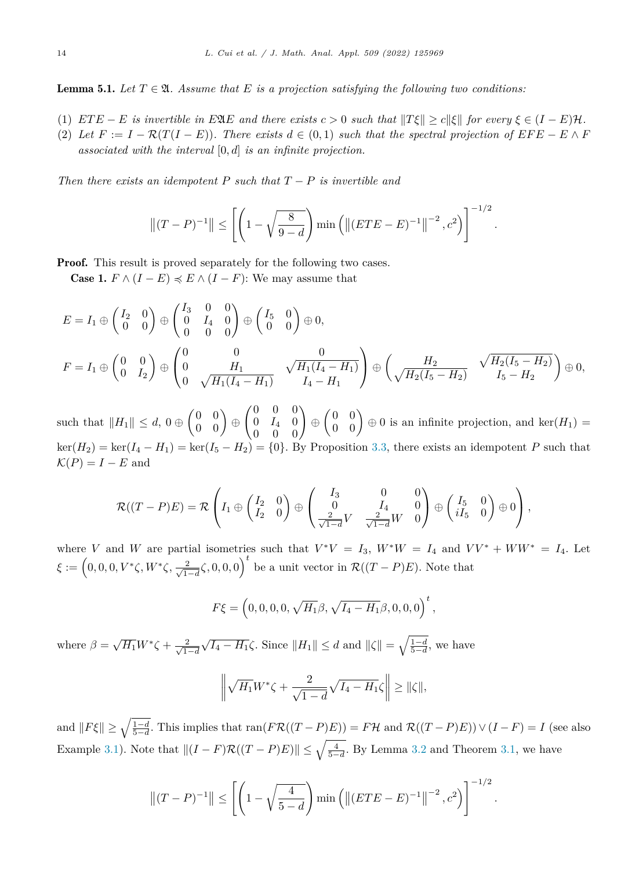<span id="page-13-0"></span>**Lemma 5.1.** Let  $T \in \mathfrak{A}$ . Assume that E is a projection satisfying the following two conditions:

- (1)  $ETE E$  is invertible in EQE and there exists  $c > 0$  such that  $||T\xi|| \ge c||\xi||$  for every  $\xi \in (I E)\mathcal{H}$ .
- (2) Let  $F := I \mathcal{R}(T(I E))$ . There exists  $d \in (0, 1)$  such that the spectral projection of  $EFE E \wedge F$ *associated with the interval* [0*, d*] *is an infinite projection.*

*Then there exists* an *idempotent*  $P$  *such that*  $T - P$  *is invertible* and

$$
||(T-P)^{-1}|| \le \left[ \left( 1 - \sqrt{\frac{8}{9-d}} \right) \min \left( ||(ETE - E)^{-1}||^{-2}, c^2 \right) \right]^{-1/2}.
$$

**Proof.** This result is proved separately for the following two cases.

**Case 1.**  $F \wedge (I - E) \preccurlyeq E \wedge (I - F)$ : We may assume that

$$
E = I_1 \oplus \begin{pmatrix} I_2 & 0 \\ 0 & 0 \end{pmatrix} \oplus \begin{pmatrix} I_3 & 0 & 0 \\ 0 & I_4 & 0 \\ 0 & 0 & 0 \end{pmatrix} \oplus \begin{pmatrix} I_5 & 0 \\ 0 & 0 \end{pmatrix} \oplus 0,
$$
  
\n
$$
F = I_1 \oplus \begin{pmatrix} 0 & 0 \\ 0 & I_2 \end{pmatrix} \oplus \begin{pmatrix} 0 & 0 & 0 \\ 0 & H_1 & \sqrt{H_1(I_4 - H_1)} \\ 0 & \sqrt{H_1(I_4 - H_1)} & I_4 - H_1 \end{pmatrix} \oplus \begin{pmatrix} H_2 & \sqrt{H_2(I_5 - H_2)} \\ \sqrt{H_2(I_5 - H_2)} & I_5 - H_2 \end{pmatrix} \oplus 0,
$$

such that  $||H_1|| \leq d$ ,  $0 \oplus \begin{pmatrix} 0 & 0 \\ 0 & 0 \end{pmatrix} \oplus$  $(0 \ 0 \ 0)$  $0 \tI_4 \t0$  $\left(\begin{matrix} 0 & 0 & 0 \ 0 & I_4 & 0 \ 0 & 0 & 0 \end{matrix} \right) \oplus$  $\begin{pmatrix} 0 & 0 \\ 0 & 0 \end{pmatrix} \oplus 0$  is an infinite projection, and ker $(H_1)$  =  $\ker(H_2) = \ker(I_4 - H_1) = \ker(I_5 - H_2) = \{0\}.$  By Proposition [3.3](#page-10-0), there exists an idempotent *P* such that  $\mathcal{K}(P) = I - E$  and

$$
\mathcal{R}((T-P)E) = \mathcal{R}\left(I_1 \oplus \begin{pmatrix}I_2 & 0\\ I_2 & 0\end{pmatrix} \oplus \begin{pmatrix}I_3 & 0 & 0\\ 0 & I_4 & 0\\ \frac{2}{\sqrt{1-d}}V & \frac{2}{\sqrt{1-d}}W & 0\end{pmatrix} \oplus \begin{pmatrix}I_5 & 0\\ iI_5 & 0\end{pmatrix} \oplus 0\right),
$$

where *V* and *W* are partial isometries such that  $V^*V = I_3$ ,  $W^*W = I_4$  and  $VV^* + WW^* = I_4$ . Let  $\xi := (0,0,0,V^*\zeta,W^*\zeta,\frac{2}{\sqrt{1-d}}\zeta,0,0,0)^t$  be a unit vector in  $\mathcal{R}((T-P)E)$ . Note that

$$
F\xi = (0, 0, 0, 0, \sqrt{H_1}\beta, \sqrt{I_4 - H_1}\beta, 0, 0, 0)^t,
$$

where  $\beta = \sqrt{H_1}W^*\zeta + \frac{2}{\sqrt{1}}$  $\frac{2}{1-d}\sqrt{I_4 - H_1}$ ζ. Since  $||H_1||$  ≤ *d* and  $||\zeta|| = \sqrt{\frac{1-d}{5-d}}$ , we have

$$
\left\|\sqrt{H_1}W^*\zeta+\frac{2}{\sqrt{1-d}}\sqrt{I_4-H_1}\zeta\right\|\geq \|\zeta\|,
$$

and  $||F\xi|| \ge \sqrt{\frac{1-d}{5-d}}$ . This implies that  $\text{ran}(F\mathcal{R}((T-P)E)) = F\mathcal{H}$  and  $\mathcal{R}((T-P)E)) \vee (I-F) = I$  (see also Example [3.1](#page-9-0)). Note that  $||(I - F)\mathcal{R}((T - P)E)|| \le \sqrt{\frac{4}{5-d}}$ . By Lemma [3.2](#page-9-0) and Theorem [3.1,](#page-9-0) we have

$$
||(T - P)^{-1}|| \le \left[ \left( 1 - \sqrt{\frac{4}{5-d}} \right) \min \left( ||(ETE - E)^{-1}||^{-2}, c^2 \right) \right]^{-1/2}.
$$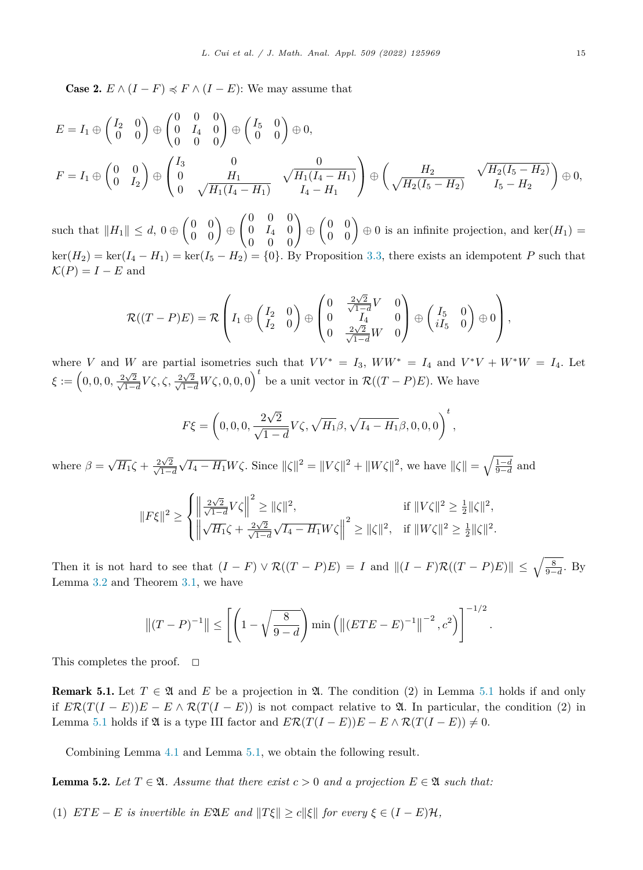<span id="page-14-0"></span>**Case 2.**  $E \wedge (I - F) \preccurlyeq F \wedge (I - E)$ : We may assume that

$$
E = I_1 \oplus \begin{pmatrix} I_2 & 0 \\ 0 & 0 \end{pmatrix} \oplus \begin{pmatrix} 0 & 0 & 0 \\ 0 & I_4 & 0 \\ 0 & 0 & 0 \end{pmatrix} \oplus \begin{pmatrix} I_5 & 0 \\ 0 & 0 \end{pmatrix} \oplus 0,
$$
  
\n
$$
F = I_1 \oplus \begin{pmatrix} 0 & 0 \\ 0 & I_2 \end{pmatrix} \oplus \begin{pmatrix} I_3 & 0 & 0 \\ 0 & H_1 & \sqrt{H_1(I_4 - H_1)} \\ 0 & \sqrt{H_1(I_4 - H_1)} & I_4 - H_1 \end{pmatrix} \oplus \begin{pmatrix} H_2 & \sqrt{H_2(I_5 - H_2)} \\ \sqrt{H_2(I_5 - H_2)} & I_5 - H_2 \end{pmatrix} \oplus 0,
$$

such that  $||H_1|| \leq d$ ,  $0 \oplus \begin{pmatrix} 0 & 0 \\ 0 & 0 \end{pmatrix} \oplus$  $(0 \ 0 \ 0)$  $0 \tI_4 \t0$  $\left(\begin{matrix} 0 & 0 & 0 \ 0 & I_4 & 0 \ 0 & 0 & 0 \end{matrix}\right) \oplus$  $\begin{pmatrix} 0 & 0 \\ 0 & 0 \end{pmatrix} \oplus 0$  is an infinite projection, and ker $(H_1)$  =  $\ker(H_2) = \ker(I_4 - H_1) = \ker(I_5 - H_2) = \{0\}$ . By Proposition [3.3,](#page-10-0) there exists an idempotent *P* such that  $\mathcal{K}(P) = I - E$  and

$$
\mathcal{R}((T-P)E) = \mathcal{R}\left(I_1 \oplus \begin{pmatrix}I_2 & 0\\ I_2 & 0\end{pmatrix} \oplus \begin{pmatrix}0 & \frac{2\sqrt{2}}{\sqrt{1-d}}V & 0\\ 0 & I_4 & 0\\ 0 & \frac{2\sqrt{2}}{\sqrt{1-d}}W & 0\end{pmatrix} \oplus \begin{pmatrix}I_5 & 0\\ iI_5 & 0\end{pmatrix} \oplus 0\right),
$$

where *V* and *W* are partial isometries such that  $VV^* = I_3$ ,  $WW^* = I_4$  and  $V^*V + W^*W = I_4$ . Let  $\xi := \left(0,0,0,\frac{2\sqrt{3}}{\sqrt{1-\frac{1}{2}}} \right)$  $\frac{2\sqrt{2}}{\sqrt{1-d}}V\zeta, \zeta, \frac{2\sqrt{2}}{\sqrt{1-d}}$  $\frac{2\sqrt{2}}{\sqrt{1-d}}W\zeta, 0, 0, 0$ <sup>t</sup> be a unit vector in  $\mathcal{R}((T - P)E)$ . We have

$$
F\xi = \left(0, 0, 0, \frac{2\sqrt{2}}{\sqrt{1-d}}V\zeta, \sqrt{H_1}\beta, \sqrt{I_4 - H_1}\beta, 0, 0, 0\right)^t,
$$

where  $\beta = \sqrt{H_1} \zeta + \frac{2\sqrt{1}}{\sqrt{1-\epsilon}}$  $\frac{2\sqrt{2}}{\sqrt{1-\frac{1}{2}}}$  $\frac{1}{\sqrt{2}}\sqrt{I_4 - H_1}W\zeta$ . Since  $\|\zeta\|^2 = \|V\zeta\|^2 + \|W\zeta\|^2$ , we have  $\|\zeta\| = \sqrt{\frac{1-d}{9-d}}$  and

$$
||F\xi||^{2} \geq \begin{cases} \left\| \frac{2\sqrt{2}}{\sqrt{1-d}} V\zeta \right\|^{2} \geq ||\zeta||^{2}, & \text{if } ||V\zeta||^{2} \geq \frac{1}{2} ||\zeta||^{2}, \\ \left\| \sqrt{H_{1}}\zeta + \frac{2\sqrt{2}}{\sqrt{1-d}}\sqrt{I_{4} - H_{1}} W\zeta \right\|^{2} \geq ||\zeta||^{2}, & \text{if } ||W\zeta||^{2} \geq \frac{1}{2} ||\zeta||^{2}. \end{cases}
$$

Then it is not hard to see that  $(I - F) \vee \mathcal{R}((T - P)E) = I$  and  $||(I - F)\mathcal{R}((T - P)E)|| \le \sqrt{\frac{8}{9-d}}$ . By Lemma [3.2](#page-9-0) and Theorem [3.1](#page-9-0), we have

$$
\left\| (T - P)^{-1} \right\| \le \left[ \left( 1 - \sqrt{\frac{8}{9 - d}} \right) \min \left( \left\| (ETE - E)^{-1} \right\|^{-2}, c^2 \right) \right]^{-1/2}
$$

*.*

This completes the proof.  $\Box$ 

**Remark [5.1](#page-13-0).** Let  $T \in \mathfrak{A}$  and  $E$  be a projection in  $\mathfrak{A}$ . The condition (2) in Lemma 5.1 holds if and only if  $E\mathcal{R}(T(I-E))E - E \wedge \mathcal{R}(T(I-E))$  is not compact relative to  $\mathfrak{A}$ . In particular, the condition (2) in Lemma [5.1](#page-13-0) holds if  $\mathfrak{A}$  is a type III factor and  $E\mathcal{R}(T(I - E))E - E \wedge \mathcal{R}(T(I - E)) \neq 0$ .

Combining Lemma [4.1](#page-11-0) and Lemma [5.1](#page-13-0), we obtain the following result.

**Lemma 5.2.** Let  $T \in \mathfrak{A}$ . Assume that there exist  $c > 0$  and a projection  $E \in \mathfrak{A}$  such that:

(1)  $ETE - E$  *is invertible in*  $E2(E$  *and*  $||T\xi|| \ge c||\xi||$  *for every*  $\xi \in (I - E)\mathcal{H}$ ,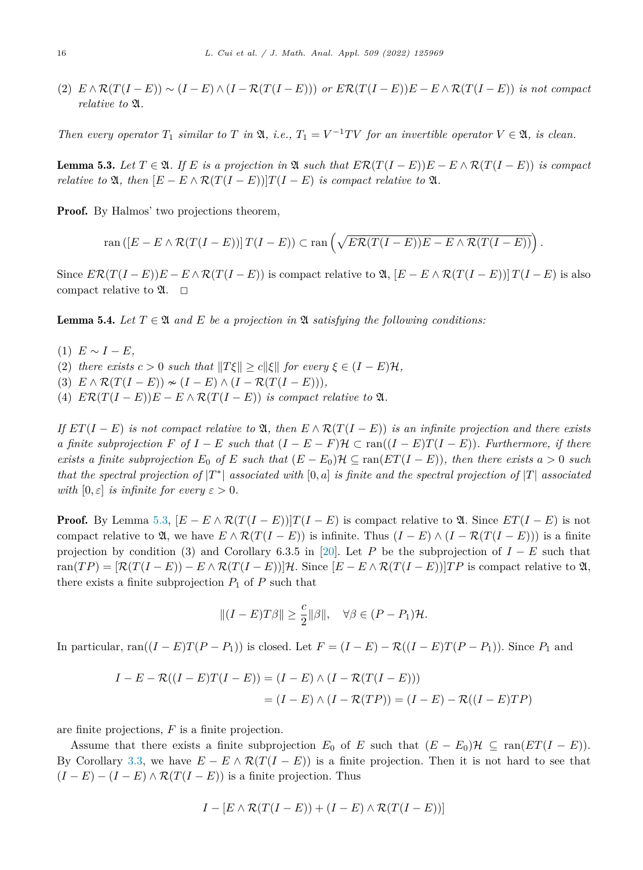<span id="page-15-0"></span>(2)  $E \wedge \mathcal{R}(T(I-E)) \sim (I-E) \wedge (I-\mathcal{R}(T(I-E)))$  or  $E\mathcal{R}(T(I-E))E - E \wedge \mathcal{R}(T(I-E))$  is not compact *relative to* A*.*

Then every operator  $T_1$  similar to T in  $\mathfrak{A}$ , i.e.,  $T_1 = V^{-1}TV$  for an invertible operator  $V \in \mathfrak{A}$ , is clean.

**Lemma 5.3.** Let  $T \in \mathfrak{A}$ . If E is a projection in  $\mathfrak{A}$  such that  $ER(T(I - E))E - E \wedge R(T(I - E))$  is compact *relative to*  $\mathfrak{A}$ *, then*  $[E - E \wedge \mathcal{R}(T(I - E))]T(I - E)$  *is compact relative to*  $\mathfrak{A}$ *.* 

Proof. By Halmos' two projections theorem,

$$
\operatorname{ran} ([E - E \wedge \mathcal{R}(T(I - E))] T(I - E)) \subset \operatorname{ran} \left( \sqrt{E \mathcal{R}(T(I - E)) E - E \wedge \mathcal{R}(T(I - E))} \right).
$$

Since  $ER(T(I - E))E - E \wedge R(T(I - E))$  is compact relative to  $\mathfrak{A}, [E - E \wedge R(T(I - E))]T(I - E)$  is also compact relative to  $\mathfrak{A}$ .  $\Box$ 

**Lemma 5.4.** Let  $T \in \mathfrak{A}$  and  $E$  be a projection in  $\mathfrak{A}$  satisfying the following conditions:

- $(1)$   $E ∼ I E$ ,
- (2) *there exists*  $c > 0$  *such that*  $||T\xi|| \ge c||\xi||$  *for every*  $\xi \in (I E)\mathcal{H}$ ,
- (3)  $E \wedge \mathcal{R}(T(I E)) \sim (I E) \wedge (I \mathcal{R}(T(I E))),$
- (4)  $E\mathcal{R}(T(I E))E E \wedge \mathcal{R}(T(I E))$  *is compact relative to*  $\mathfrak{A}$ *.*

If  $ET(I - E)$  is not compact relative to  $\mathfrak{A}$ , then  $E \wedge \mathcal{R}(T(I - E))$  is an infinite projection and there exists a finite subprojection F of  $I - E$  such that  $(I - E - F)H \subset \text{ran}((I - E)T(I - E))$ . Furthermore, if there exists a finite subprojection  $E_0$  of E such that  $(E - E_0)\mathcal{H} \subseteq \text{ran}(ET(I - E))$ , then there exists  $a > 0$  such that the spectral projection of  $|T^*|$  associated with [0, a] is finite and the spectral projection of  $|T|$  associated *with*  $[0, \varepsilon]$  *is infinite for every*  $\varepsilon > 0$ *.* 

**Proof.** By Lemma 5.3,  $[E - E \wedge \mathcal{R}(T(I - E))]T(I - E)$  is compact relative to  $\mathfrak{A}$ . Since  $ET(I - E)$  is not compact relative to  $\mathfrak{A}$ , we have  $E \wedge \mathcal{R}(T(I - E))$  is infinite. Thus  $(I - E) \wedge (I - \mathcal{R}(T(I - E)))$  is a finite projection by condition (3) and Corollary 6.3.5 in [\[20](#page-20-0)]. Let *P* be the subprojection of *I* − *E* such that  $\text{ran}(TP) = [\mathcal{R}(T(I - E)) - E \wedge \mathcal{R}(T(I - E))]$ . Since  $[E - E \wedge \mathcal{R}(T(I - E))]$  is compact relative to  $\mathfrak{A},$ there exists a finite subprojection  $P_1$  of  $P$  such that

$$
||(I - E)T\beta|| \ge \frac{c}{2} ||\beta||, \quad \forall \beta \in (P - P_1)\mathcal{H}.
$$

In particular, ran( $(I - E)T(P - P_1)$ ) is closed. Let  $F = (I - E) - R((I - E)T(P - P_1))$ . Since  $P_1$  and

$$
I - E - \mathcal{R}((I - E)T(I - E)) = (I - E) \wedge (I - \mathcal{R}(T(I - E)))
$$

$$
= (I - E) \wedge (I - \mathcal{R}(TP)) = (I - E) - \mathcal{R}((I - E)TP)
$$

are finite projections, *F* is a finite projection.

Assume that there exists a finite subprojection  $E_0$  of  $E$  such that  $(E - E_0)\mathcal{H} \subseteq \text{ran}(ET(I - E)).$ By Corollary [3.3,](#page-9-0) we have  $E - E \wedge \mathcal{R}(T(I - E))$  is a finite projection. Then it is not hard to see that  $(I - E) - (I - E) \wedge \mathcal{R}(T(I - E))$  is a finite projection. Thus

$$
I - [E \wedge \mathcal{R}(T(I - E)) + (I - E) \wedge \mathcal{R}(T(I - E))]
$$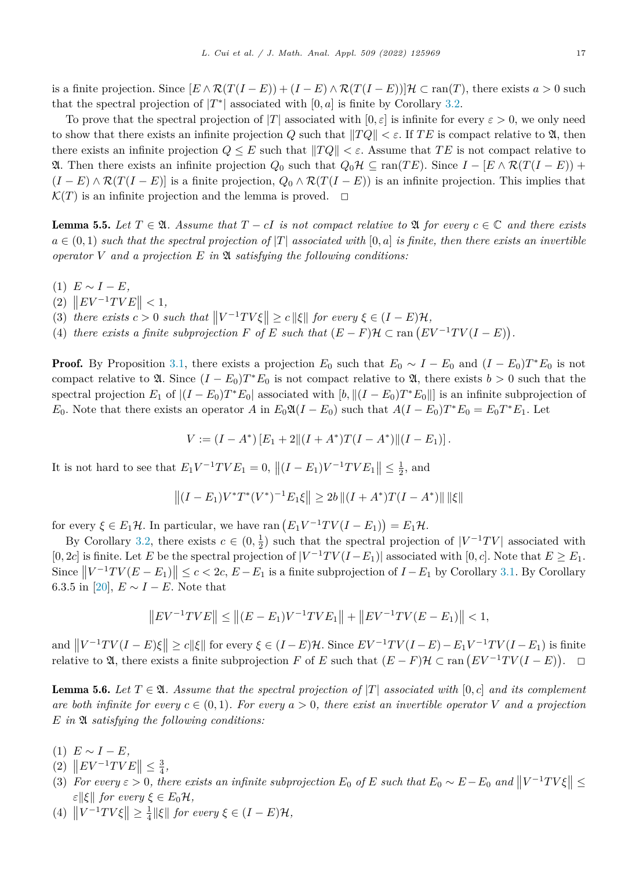<span id="page-16-0"></span>is a finite projection. Since  $[E \wedge \mathcal{R}(T(I - E)) + (I - E) \wedge \mathcal{R}(T(I - E))] \mathcal{H} \subset \text{ran}(T)$ , there exists  $a > 0$  such that the spectral projection of  $|T^*|$  associated with  $[0, a]$  is finite by Corollary [3.2](#page-8-0).

To prove that the spectral projection of  $|T|$  associated with  $[0, \varepsilon]$  is infinite for every  $\varepsilon > 0$ , we only need to show that there exists an infinite projection *Q* such that  $||TQ|| < \varepsilon$ . If *TE* is compact relative to **2**, then there exists an infinite projection  $Q \leq E$  such that  $||TQ|| < \varepsilon$ . Assume that TE is not compact relative to **21.** Then there exists an infinite projection  $Q_0$  such that  $Q_0H ⊆ \text{ran}(TE)$ . Since  $I - [E \wedge \mathcal{R}(T(I - E)) +$  $(I - E) \wedge \mathcal{R}(T(I - E))$  is a finite projection,  $Q_0 \wedge \mathcal{R}(T(I - E))$  is an infinite projection. This implies that  $\mathcal{K}(T)$  is an infinite projection and the lemma is proved.  $\Box$ 

**Lemma 5.5.** Let  $T \in \mathfrak{A}$ . Assume that  $T - cI$  is not compact relative to  $\mathfrak{A}$  for every  $c \in \mathbb{C}$  and there exists  $a \in (0,1)$  such that the spectral projection of |T| associated with [0, a] is finite, then there exists an invertible *operator V and a projection E in* A *satisfying the following conditions:*

- (1)  $E ∼ I E$ ,
- $||E| = \|E| = \frac{1}{2}$
- (3) *there exists*  $c > 0$  *such that*  $||V^{-1}TV\xi|| \ge c||\xi||$  *for every*  $\xi \in (I E)\mathcal{H}$ ,
- (4) *there exists a finite subprojection*  $F$  *of*  $E$  *such that*  $(E F)H \subset \text{ran}(EV^{-1}TV(I E)).$

**Proof.** By Proposition [3.1,](#page-6-0) there exists a projection  $E_0$  such that  $E_0 \sim I - E_0$  and  $(I - E_0)T^*E_0$  is not compact relative to  $\mathfrak{A}$ . Since  $(I - E_0)T^*E_0$  is not compact relative to  $\mathfrak{A}$ , there exists  $b > 0$  such that the spectral projection  $E_1$  of  $|(I - E_0)T^*E_0|$  associated with  $|b| \cdot ||(I - E_0)T^*E_0||$  is an infinite subprojection of *E*<sub>0</sub>. Note that there exists an operator *A* in  $E_0 \mathfrak{A}(I - E_0)$  such that  $A(I - E_0)T^*E_0 = E_0 T^*E_1$ . Let

$$
V := (I - A^*) [E_1 + 2 || (I + A^*)T(I - A^*) || (I - E_1)].
$$

It is not hard to see that  $E_1 V^{-1} T V E_1 = 0$ ,  $|| (I - E_1) V^{-1} T V E_1 || \le \frac{1}{2}$ , and

$$
||(I - E_1)V^*T^*(V^*)^{-1}E_1\xi|| \ge 2b ||(I + A^*)T(I - A^*)|| ||\xi||
$$

for every  $\xi \in E_1\mathcal{H}$ . In particular, we have ran  $(E_1V^{-1}TV(I-E_1)) = E_1\mathcal{H}$ .

By Corollary [3.2,](#page-8-0) there exists  $c \in (0, \frac{1}{2})$  such that the spectral projection of  $|V^{-1}TV|$  associated with  $[0, 2c]$  is finite. Let *E* be the spectral projection of  $|V^{-1}TV(I-E_1)|$  associated with  $[0, c]$ . Note that  $E \ge E_1$ . Since  $||V^{-1}TV(E - E_1)|| \le c < 2c$ ,  $E - E_1$  is a finite subprojection of  $I - E_1$  by Corollary [3.1](#page-8-0). By Corollary 6.3.5 in [\[20](#page-20-0)],  $E \sim I - E$ . Note that

$$
||EV^{-1}TVE|| \le ||(E - E_1)V^{-1}TVE_1|| + ||EV^{-1}TV(E - E_1)|| < 1,
$$

and  $||V^{-1}TV(I-E)\xi|| \ge c||\xi||$  for every  $\xi \in (I-E)\mathcal{H}$ . Since  $EV^{-1}TV(I-E) - E_1V^{-1}TV(I-E_1)$  is finite relative to  $\mathfrak{A}$ , there exists a finite subprojection *F* of *E* such that  $(E - F)\mathcal{H} \subset \text{ran}(EV^{-1}TV(I - E))$ .  $\Box$ 

**Lemma 5.6.** Let  $T \in \mathfrak{A}$ . Assume that the spectral projection of  $|T|$  associated with  $[0, c]$  and its complement are both infinite for every  $c \in (0,1)$ . For every  $a > 0$ , there exist an invertible operator V and a projection *E in* A *satisfying the following conditions:*

- $(1)$   $E \sim I E$ ,
- $(|2\rangle ||E V^{-1} T V E|| \leq \frac{3}{4},$
- (3) For every  $\varepsilon > 0$ , there exists an infinite subprojection  $E_0$  of E such that  $E_0 \sim E E_0$  and  $||V^{-1}TV\xi|| \le$ *ε* $||\xi||$  *for every*  $\xi \in E_0\mathcal{H}$ *,*
- $(|4)$   $||V^{-1}TV\xi|| \ge \frac{1}{4}||\xi||$  *for every*  $\xi \in (I E)\mathcal{H}$ ,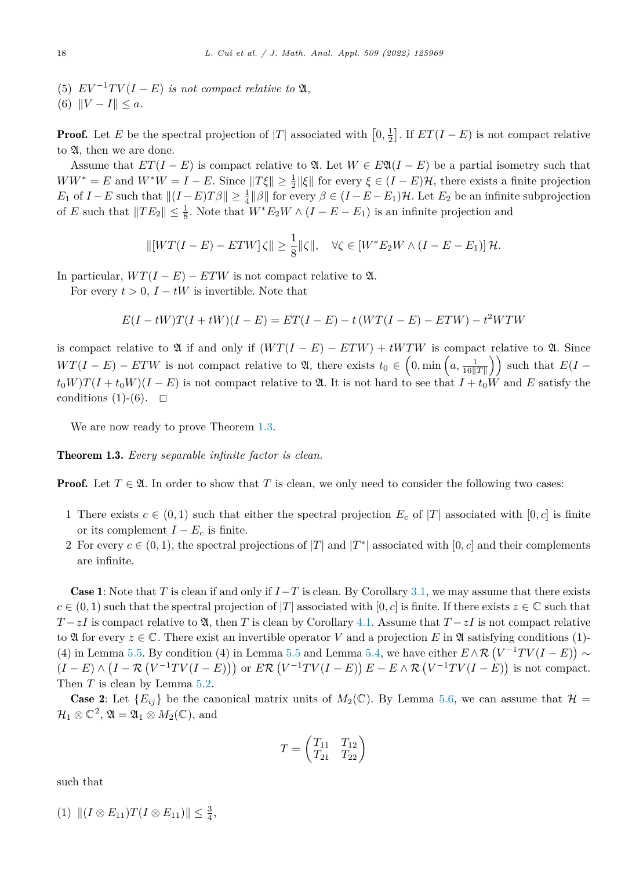(5)  $EV^{-1}TV(I-E)$  *is not compact relative to*  $\mathfrak{A}$ *,* 

$$
(6) \|V - I\| \le a.
$$

**Proof.** Let *E* be the spectral projection of  $|T|$  associated with  $\left[0, \frac{1}{2}\right]$ . If  $ET(I - E)$  is not compact relative to  $\mathfrak{A}$ , then we are done.

Assume that  $ET(I - E)$  is compact relative to  $\mathfrak{A}$ . Let  $W \in E\mathfrak{A}(I - E)$  be a partial isometry such that  $WW^* = E$  and  $W^*W = I - E$ . Since  $||T\xi|| \ge \frac{1}{2} ||\xi||$  for every  $\xi \in (I - E)\mathcal{H}$ , there exists a finite projection *E*<sub>1</sub> of *I* − *E* such that  $||(I - E)T\beta|| \ge \frac{1}{4}||\beta||$  for every  $\beta \in (I - E - E_1)\mathcal{H}$ . Let  $E_2$  be an infinite subprojection of *E* such that  $||TE_2|| \le \frac{1}{8}$ . Note that  $W^*E_2W \wedge (I - E - E_1)$  is an infinite projection and

$$
\| [WT(I - E) - ETW] \zeta \| \ge \frac{1}{8} \|\zeta\|, \quad \forall \zeta \in [W^*E_2W \wedge (I - E - E_1)] \mathcal{H}.
$$

In particular,  $WT(I - E) - ETW$  is not compact relative to  $\mathfrak{A}$ .

For every  $t > 0$ ,  $I - tW$  is invertible. Note that

$$
E(I - tW)T(I + tW)(I - E) = ET(I - E) - t(WT(I - E) - ETW) - t2WTW
$$

is compact relative to  $\mathfrak A$  if and only if  $(WT(I - E) - ETW) + tWTW$  is compact relative to  $\mathfrak A$ . Since  $WT(I - E) - ETW$  is not compact relative to  $\mathfrak{A}$ , there exists  $t_0 \in \left(0, \min\left(a, \frac{1}{16\|T\|}\right)\right)$  such that  $E(I - E)$  $t_0W$ ) $T(I + t_0W)(I - E)$  is not compact relative to  $\mathfrak{A}$ . It is not hard to see that  $I + t_0W$  and E satisfy the conditions (1)-(6).  $\Box$ 

We are now ready to prove Theorem [1.3.](#page-2-0)

Theorem 1.3. *Every separable infinite factor is clean.*

**Proof.** Let  $T \in \mathfrak{A}$ . In order to show that *T* is clean, we only need to consider the following two cases:

- 1 There exists  $c \in (0,1)$  such that either the spectral projection  $E_c$  of  $|T|$  associated with  $[0,c]$  is finite or its complement  $I - E_c$  is finite.
- 2 For every  $c \in (0,1)$ , the spectral projections of  $|T|$  and  $|T^*|$  associated with  $[0,c]$  and their complements are infinite.

**Case 1:** Note that *T* is clean if and only if  $I-T$  is clean. By Corollary [3.1](#page-8-0), we may assume that there exists  $c \in (0,1)$  such that the spectral projection of  $|T|$  associated with  $[0,c]$  is finite. If there exists  $z \in \mathbb{C}$  such that  $T - zI$  is compact relative to  $\mathfrak{A}$ , then *T* is clean by Corollary [4.1.](#page-12-0) Assume that  $T - zI$  is not compact relative to  $\mathfrak A$  for every  $z \in \mathbb C$ . There exist an invertible operator *V* and a projection *E* in  $\mathfrak A$  satisfying conditions (1)-(4) in Lemma [5.5.](#page-16-0) By condition (4) in Lemma [5.5](#page-16-0) and Lemma [5.4,](#page-15-0) we have either  $E \wedge \mathcal{R} (V^{-1}TV(I - E)) \sim$  $(I - E) \wedge (I - \mathcal{R}(V^{-1}TV(I - E)))$  or  $E \mathcal{R}(V^{-1}TV(I - E)) E - E \wedge \mathcal{R}(V^{-1}TV(I - E))$  is not compact. Then *T* is clean by Lemma [5.2.](#page-14-0)

**Case 2:** Let  $\{E_{ij}\}\$  be the canonical matrix units of  $M_2(\mathbb{C})$ . By Lemma [5.6,](#page-16-0) we can assume that  $\mathcal{H} =$  $\mathcal{H}_1 \otimes \mathbb{C}^2$ ,  $\mathfrak{A} = \mathfrak{A}_1 \otimes M_2(\mathbb{C})$ , and

$$
T = \begin{pmatrix} T_{11} & T_{12} \\ T_{21} & T_{22} \end{pmatrix}
$$

such that

$$
(1) \| (I \otimes E_{11}) T(I \otimes E_{11}) \| \leq \frac{3}{4},
$$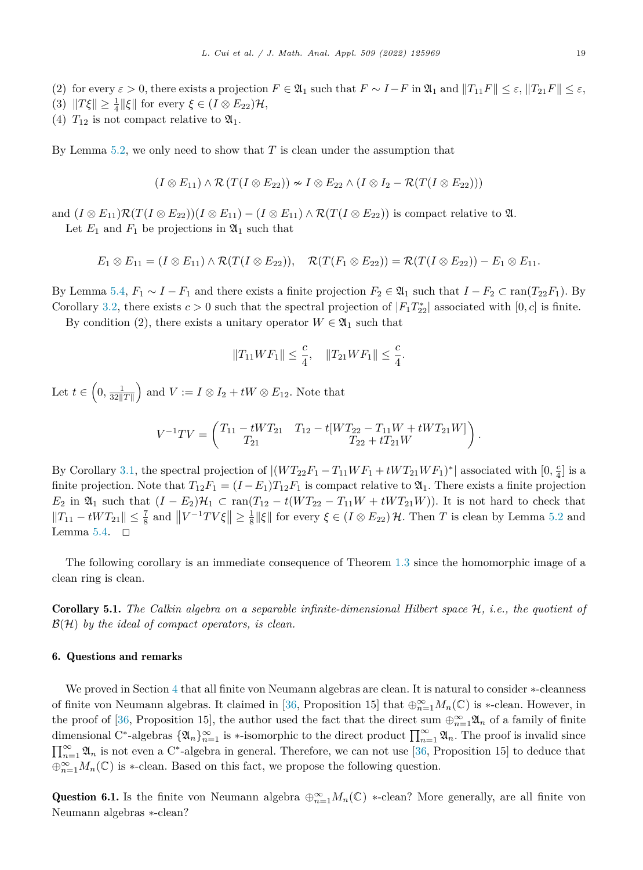<span id="page-18-0"></span>(2) for every  $\varepsilon > 0$ , there exists a projection  $F \in \mathfrak{A}_1$  such that  $F \sim I - F$  in  $\mathfrak{A}_1$  and  $||T_{11}F|| \leq \varepsilon$ ,  $||T_{21}F|| \leq \varepsilon$ ,

- (3)  $||T\xi|| \ge \frac{1}{4} ||\xi||$  for every  $\xi \in (I \otimes E_{22})\mathcal{H}$ ,
- (4)  $T_{12}$  is not compact relative to  $\mathfrak{A}_1$ .

By Lemma [5.2](#page-14-0), we only need to show that *T* is clean under the assumption that

$$
(I \otimes E_{11}) \wedge \mathcal{R}(T(I \otimes E_{22})) \sim I \otimes E_{22} \wedge (I \otimes I_2 - \mathcal{R}(T(I \otimes E_{22})))
$$

and  $(I \otimes E_{11})\mathcal{R}(T(I \otimes E_{22}))(I \otimes E_{11}) - (I \otimes E_{11}) \wedge \mathcal{R}(T(I \otimes E_{22}))$  is compact relative to  $\mathfrak{A}$ . Let  $E_1$  and  $F_1$  be projections in  $\mathfrak{A}_1$  such that

$$
E_1 \otimes E_{11} = (I \otimes E_{11}) \wedge \mathcal{R}(T(I \otimes E_{22})), \quad \mathcal{R}(T(F_1 \otimes E_{22})) = \mathcal{R}(T(I \otimes E_{22})) - E_1 \otimes E_{11}.
$$

By Lemma [5.4,](#page-15-0)  $F_1 \sim I - F_1$  and there exists a finite projection  $F_2 \in \mathfrak{A}_1$  such that  $I - F_2 \subset \text{ran}(T_{22}F_1)$ . By Corollary [3.2,](#page-8-0) there exists  $c > 0$  such that the spectral projection of  $|F_1 T_{22}^*|$  associated with  $[0, c]$  is finite.

By condition (2), there exists a unitary operator  $W \in \mathfrak{A}_1$  such that

$$
||T_{11}WF_1|| \leq \frac{c}{4}, \quad ||T_{21}WF_1|| \leq \frac{c}{4}.
$$

Let  $t \in \left(0, \frac{1}{32||T||}\right)$  $\Big)$  and  $V := I \otimes I_2 + tW \otimes E_{12}$ . Note that

$$
V^{-1}TV = \begin{pmatrix} T_{11} - tWT_{21} & T_{12} - t[WT_{22} - T_{11}W + tWT_{21}W] \\ T_{21} & T_{22} + tT_{21}W \end{pmatrix}.
$$

By Corollary [3.1](#page-8-0), the spectral projection of  $|(WT_{22}F_1 - T_{11}WF_1 + tWT_{21}WF_1)^*|$  associated with  $[0, \frac{c}{4}]$  is a finite projection. Note that  $T_{12}F_1 = (I - E_1)T_{12}F_1$  is compact relative to  $\mathfrak{A}_1$ . There exists a finite projection *E*<sub>2</sub> in  $\mathfrak{A}_1$  such that  $(I - E_2)\mathcal{H}_1$  ⊂ ran( $T_{12} - t(WT_{22} - T_{11}W + tWT_{21}W)$ ). It is not hard to check that  $||T_{11} - tWT_{21}||$  ≤  $\frac{7}{8}$  and  $||V^{-1}TV\xi||$  ≥  $\frac{1}{8}||\xi||$  for every  $\xi \in (I ⊗ E_{22})\mathcal{H}$ . Then *T* is clean by Lemma [5.2](#page-14-0) and Lemma [5.4](#page-15-0).  $\Box$ 

The following corollary is an immediate consequence of Theorem [1.3](#page-2-0) since the homomorphic image of a clean ring is clean.

Corollary 5.1. *The Calkin algebra on a separable infinite-dimensional Hilbert space* H*, i.e., the quotient of* B(H) *by the ideal of compact operators, is clean.*

### 6. Questions and remarks

We proved in Section [4](#page-11-0) that all finite von Neumann algebras are clean. It is natural to consider ∗-cleanness of finite von Neumann algebras. It claimed in [[36,](#page-20-0) Proposition 15] that  $\oplus_{n=1}^{\infty} M_n(\mathbb{C})$  is  $*$ -clean. However, in the proof of [\[36](#page-20-0), Proposition 15], the author used the fact that the direct sum  $\oplus_{n=1}^{\infty} \mathfrak{A}_n$  of a family of finite dimensional C<sup>\*</sup>-algebras  $\{\mathfrak{A}_n\}_{n=1}^{\infty}$  is  $\ast$ -isomorphic to the direct product  $\prod_{n=1}^{\infty} \mathfrak{A}_n$ . The proof is invalid since  $\prod_{n=1}^{\infty} \mathfrak{A}_n$  is not even a C<sup>\*</sup>-algebra in general. Therefore, we can not use [\[36](#page-20-0), Proposition 15] to deduce that  $\bigoplus_{n=1}^{\infty} M_n(\mathbb{C})$  is \*-clean. Based on this fact, we propose the following question.

Question 6.1. Is the finite von Neumann algebra  $\oplus_{n=1}^{\infty} M_n(\mathbb{C})$  \*-clean? More generally, are all finite von Neumann algebras ∗-clean?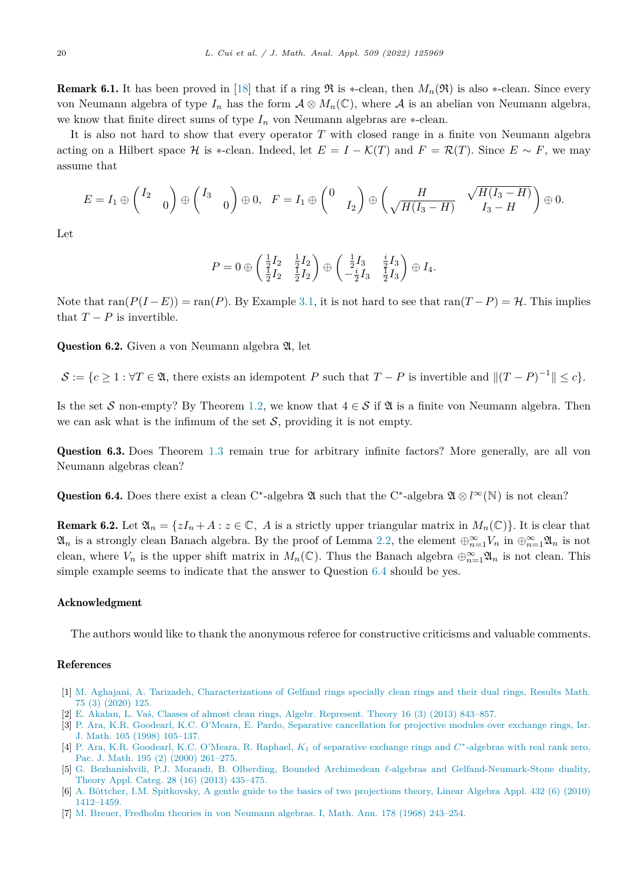<span id="page-19-0"></span>**Remark 6.1.** It has been proved in [\[18](#page-20-0)] that if a ring  $\Re$  is \*-clean, then  $M_n(\Re)$  is also \*-clean. Since every von Neumann algebra of type  $I_n$  has the form  $A \otimes M_n(\mathbb{C})$ , where A is an abelian von Neumann algebra, we know that finite direct sums of type  $I_n$  von Neumann algebras are  $*$ -clean.

It is also not hard to show that every operator *T* with closed range in a finite von Neumann algebra acting on a Hilbert space H is  $*$ -clean. Indeed, let  $E = I - \mathcal{K}(T)$  and  $F = \mathcal{R}(T)$ . Since  $E \sim F$ , we may assume that

$$
E = I_1 \oplus \begin{pmatrix} I_2 & 0 \end{pmatrix} \oplus \begin{pmatrix} I_3 & 0 \end{pmatrix} \oplus 0, \quad F = I_1 \oplus \begin{pmatrix} 0 & 0 \end{pmatrix} \oplus \begin{pmatrix} \frac{H}{\sqrt{H(I_3 - H)}} & \sqrt{H(I_3 - H)} \\ \sqrt{H(I_3 - H)} & I_3 - H \end{pmatrix} \oplus 0.
$$

Let

$$
P = 0 \oplus \begin{pmatrix} \frac{1}{2}I_2 & \frac{1}{2}I_2 \\ \frac{1}{2}I_2 & \frac{1}{2}I_2 \end{pmatrix} \oplus \begin{pmatrix} \frac{1}{2}I_3 & \frac{i}{2}I_3 \\ -\frac{i}{2}I_3 & \frac{1}{2}I_3 \end{pmatrix} \oplus I_4.
$$

Note that  $\text{ran}(P(I-E)) = \text{ran}(P)$ . By Example [3.1,](#page-9-0) it is not hard to see that  $\text{ran}(T-P) = H$ . This implies that  $T - P$  is invertible.

**Question 6.2.** Given a von Neumann algebra  $\mathfrak{A}$ , let

 $\mathcal{S} := \{c \geq 1 : \forall T \in \mathfrak{A}, \text{ there exists an idempotent } P \text{ such that } T - P \text{ is invertible and } ||(T - P)^{-1}|| \leq c\}.$ 

Is the set S non-empty? By Theorem [1.2](#page-2-0), we know that  $4 \in S$  if  $\mathfrak A$  is a finite von Neumann algebra. Then we can ask what is the infimum of the set  $S$ , providing it is not empty.

Question 6.3. Does Theorem [1.3](#page-2-0) remain true for arbitrary infinite factors? More generally, are all von Neumann algebras clean?

Question 6.4. Does there exist a clean C<sup>∗</sup>-algebra <del>2</del> ω such that the C<sup>∗</sup>-algebra  $\mathfrak{A} \otimes l^{\infty}(\mathbb{N})$  is not clean?

**Remark 6.2.** Let  $\mathfrak{A}_n = \{zI_n + A : z \in \mathbb{C}, A \text{ is a strictly upper triangular matrix in } M_n(\mathbb{C})\}$ . It is clear that  $\mathfrak{A}_n$  is a strongly clean Banach algebra. By the proof of Lemma [2.2](#page-3-0), the element  $\oplus_{n=1}^{\infty} V_n$  in  $\oplus_{n=1}^{\infty} \mathfrak{A}_n$  is not clean, where  $V_n$  is the upper shift matrix in  $M_n(\mathbb{C})$ . Thus the Banach algebra  $\bigoplus_{n=1}^{\infty} \mathfrak{A}_n$  is not clean. This simple example seems to indicate that the answer to Question  $6.4$  should be yes.

# Acknowledgment

The authors would like to thank the anonymous referee for constructive criticisms and valuable comments.

# References

- [1] M. Aghajani, A. Tarizadeh, [Characterizations](http://refhub.elsevier.com/S0022-247X(21)01051-9/bib29D2821511DA931FF4BFF5F5AC201001s1) of Gelfand rings specially clean rings and their dual rings, Results Math. 75 (3) [\(2020\)](http://refhub.elsevier.com/S0022-247X(21)01051-9/bib29D2821511DA931FF4BFF5F5AC201001s1) 125.
- [2] E. Akalan, L. Vaš, Classes of almost clean rings, Algebr. [Represent.](http://refhub.elsevier.com/S0022-247X(21)01051-9/bibA7014AFCD1F6403AF56AD9ED5CFE00D2s1) Theory 16 (3) (2013) 843–857.
- [3] P. Ara, K.R. Goodearl, K.C. O'Meara, E. Pardo, Separative [cancellation](http://refhub.elsevier.com/S0022-247X(21)01051-9/bib1DA01ACD9CC4CBB77CA130CE6F1BEC7As1) for projective modules over exchange rings, Isr. J. Math. 105 (1998) [105–137.](http://refhub.elsevier.com/S0022-247X(21)01051-9/bib1DA01ACD9CC4CBB77CA130CE6F1BEC7As1)
- [4] P. Ara, K.R. Goodearl, K.C. O'Meara, R. Raphael, *K*<sup>1</sup> of [separative](http://refhub.elsevier.com/S0022-247X(21)01051-9/bib9A4544D89D7031DBC34390EB21FA0A07s1) exchange rings and *C*∗-algebras with real rank zero, Pac. J. Math. 195 (2) (2000) [261–275.](http://refhub.elsevier.com/S0022-247X(21)01051-9/bib9A4544D89D7031DBC34390EB21FA0A07s1)
- [5] G. Bezhanishvili, P.J. Morandi, B. Olberding, Bounded Archimedean *-*-algebras and [Gelfand-Neumark-Stone](http://refhub.elsevier.com/S0022-247X(21)01051-9/bibB743CF03DA142ACE43318712A2F66DAEs1) duality, Theory Appl. Categ. 28 (16) (2013) [435–475.](http://refhub.elsevier.com/S0022-247X(21)01051-9/bibB743CF03DA142ACE43318712A2F66DAEs1)
- [6] A. Böttcher, I.M. [Spitkovsky,](http://refhub.elsevier.com/S0022-247X(21)01051-9/bib88543D385D350E24D0FB1AD5531C7220s1) A gentle guide to the basics of two projections theory, Linear Algebra Appl. 432 (6) (2010) [1412–1459.](http://refhub.elsevier.com/S0022-247X(21)01051-9/bib88543D385D350E24D0FB1AD5531C7220s1)
- [7] M. Breuer, Fredholm theories in von [Neumann](http://refhub.elsevier.com/S0022-247X(21)01051-9/bibC0309B177C1E92C179D6EBCC81BEBF60s1) algebras. I, Math. Ann. 178 (1968) 243–254.